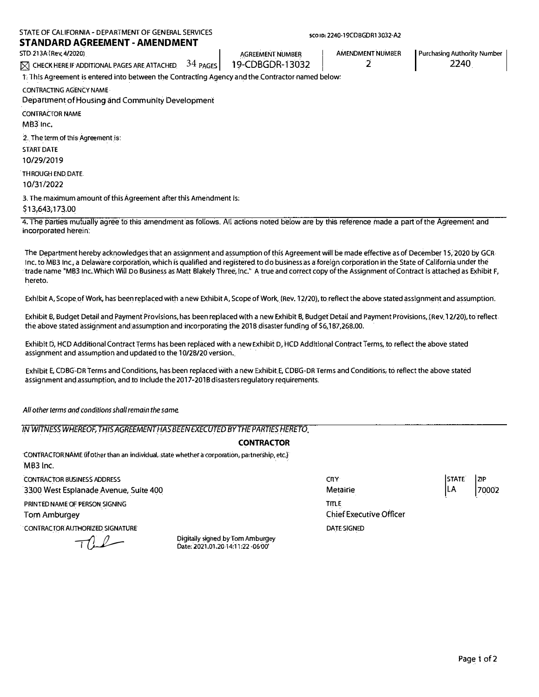# STATE 2IP<br>LA 70002

Page **1** of2

AGREEMENT NUMBER

**sco** 10, 2240· 19COBGDR1 3032·A2

AMENDMENT NUMBER Purchasing Authority Number

 $\boxtimes$  Check here if additional pages are attached  $34$  pages

19-CDBGDR-13032

2

2240

**1.** This Agreement is entered into between the Contracting Agency and the Contractor named below:

CONTRACTING AGENCY NAME

Department of Housing and Community Development

S TATE OF CALIFORNIA- DEPARTMENT OF GENERAL SERVICES **STANDARD AGREEMENT-AMENDMENT** 

CONTRACTOR NAME MB3 Inc,

STD 213A (Rev. 4/2020)

2. The term of this Agreement is:

START DATE

10/29/2019

THROUGH END DATE

10/31/2022

3. The maximum amount of this Agreement after this Amendment 1s:

\$13,643,173.00

4. The parties mutually agree to this amendment as follows. A!! actions noted below are by this reference made a part of the Agreement and incorporated herein:

The Department hereby acknowledges that an assignment and assumption of this Agreement will be made effective as of December 15, 2020 by GCR Inc. to MB3 Inc., a Delaware corporation, which is qualified and registered to do business as a foreign corporation in the State of California under the trade name 'MB3 Inc. Which Will Do Business as Matt Blakely Three, !nc." A true and correct copy of the Assignment of Contract is attached as Exhibit F, hereto.

Exhibit A, Scope of Work, has been replaced with a new Exhibit A, Scope of Work, (Rev. 12/20), to reflect the above stated assignment and assumption.

Exhibit B, Budget Detail and Payment Provisions, has been replaced w!th a new Exhibit B, Budget Detail and Payment Provisions, (Rev. 12/20), to reflect the above stated assignment and·assumption and incorporating the 2018 disaster funding of \$6,187,268.00.

Exhibit D, HCD Additional Contract Terms has been replaced with a new Exhibit D, HCD Additional Contract Terms, to reflect the above stated assignment and assumption and updated to the 10/28/20 version.

Exhibit E, CD BG-DR Terms and Conditions, has been replaced with a new Exhibit E, CDBG-DR Terms and Conditions, to reflect the above stated assignment and assumption, and to Include the 2017-201B disasters regulatory requirements.

*All other terms and conditions shall remain the same.* 

*IN WITNESS WHEREOF, THIS AGREEMENT HAS BEEN EXECUTED BY THE PARTIES HERETO.* 

### **CONTRACTOR**

CONTRACTOR NAME (if other than an individual, state whether a corporation, partnership, etc.) MB3 lnc.

CONTRACTOR BUSINESS ADDRESS 3300 West Esplanade Avenue, Suite 400

PRINTED NAME OF PERSON SIGNING

Tom Amburgey

CONTRACTOR AlJTHORIZED SIGNATURE

*--r(]\_C--*

Digitally signed by Tom Amburgey Date: 2021.01.20 14:11:22-06 00'

**CITY** Metairie **TITLE** Chief Executive Officer DATE SIGNED

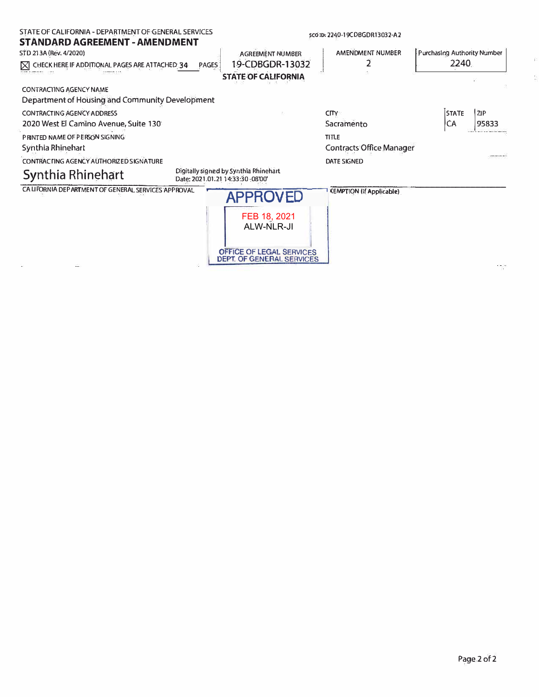| STATE OF CALIFORNIA - DEPARTMENT OF GENERAL SERVICES<br><b>STANDARD AGREEMENT - AMENDMENT</b> |                                                                             | scoib: 2240-19CDBGDR13032-A2             |                                                  |
|-----------------------------------------------------------------------------------------------|-----------------------------------------------------------------------------|------------------------------------------|--------------------------------------------------|
| STD 213A (Rev. 4/2020)<br>$\boxtimes$ CHECK HERE IF ADDITIONAL PAGES ARE ATTACHED 34          | AGREEMENT NUMBER<br>19-CDBGDR-13032<br><b>PAGES</b>                         | <b>AMENDMENT NUMBER</b>                  | Purchasing Authority Number<br>2240              |
|                                                                                               | <b>STATE OF CALIFORNIA</b>                                                  |                                          |                                                  |
| CONTRACTING AGENCY NAME<br>Department of Housing and Community Development                    |                                                                             |                                          |                                                  |
| <b>CONTRACTING AGENCY ADDRESS</b><br>2020 West El Camino Avenue, Suite 130                    |                                                                             | <b>CITY</b><br>Sacramento                | ZIP <sup>1</sup><br><b>STATE</b><br> CA<br>95833 |
| P RINTED NAME OF PERSON SIGNING<br>Synthia Rhinehart                                          |                                                                             | TITLE<br><b>Contracts Office Manager</b> |                                                  |
| <b>CONTRACTING AGENCY AUTHORIZED SIGNATURE</b>                                                |                                                                             | <b>DATE SIGNED</b>                       |                                                  |
| Synthia Rhinehart                                                                             | Digitally signed by Synthia Rhinehart<br>Date: 2021.01.21 14:33:30 - 08'00' |                                          |                                                  |
| CA LIFORNIA DEP ARTMENT OF GENERAL SERVICES APPROVAL                                          | <b>APPROVED</b><br>FEB 18, 2021                                             | <b>KEMPTION (If Applicable)</b>          |                                                  |
|                                                                                               | ALW-NLR-JI<br>OFFICE OF LEGAL SERVICES<br>DEPT. OF GENERAL SERVICES         |                                          |                                                  |

 $\tilde{S}^{\prime}_{0}$ 

 $\frac{1}{\sqrt{2}}$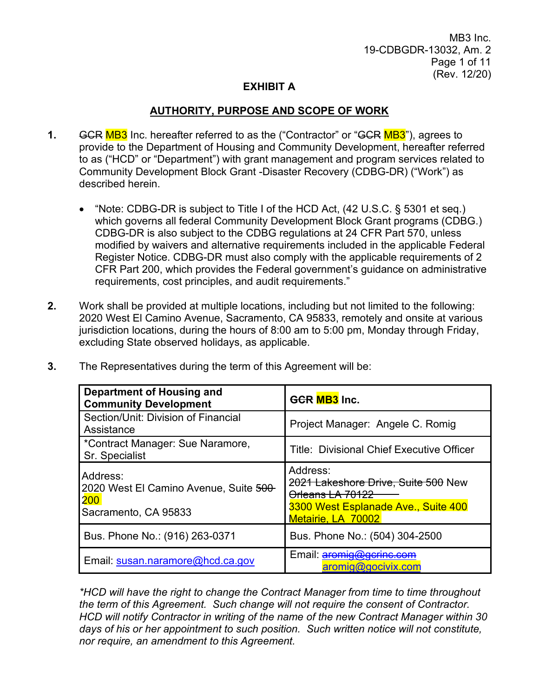MB3 Inc. 19-CDBGDR-13032, Am. 2 Page 1 of 11 (Rev. 12/20)

### **EXHIBIT A**

# **AUTHORITY, PURPOSE AND SCOPE OF WORK**

- **1.** GCR MB3 Inc. hereafter referred to as the ("Contractor" or "GCR MB3"), agrees to provide to the Department of Housing and Community Development, hereafter referred to as ("HCD" or "Department") with grant management and program services related to Community Development Block Grant -Disaster Recovery (CDBG-DR) ("Work") as described herein.
	- "Note: CDBG-DR is subject to Title I of the HCD Act, (42 U.S.C. § 5301 et seq.) which governs all federal Community Development Block Grant programs (CDBG.) CDBG-DR is also subject to the CDBG regulations at 24 CFR Part 570, unless modified by waivers and alternative requirements included in the applicable Federal Register Notice. CDBG-DR must also comply with the applicable requirements of 2 CFR Part 200, which provides the Federal government's guidance on administrative requirements, cost principles, and audit requirements."
- **2.** Work shall be provided at multiple locations, including but not limited to the following: 2020 West El Camino Avenue, Sacramento, CA 95833, remotely and onsite at various jurisdiction locations, during the hours of 8:00 am to 5:00 pm, Monday through Friday, excluding State observed holidays, as applicable.

| Department of Housing and<br><b>Community Development</b>                        | GCR MB3 Inc.                                                                                                                     |
|----------------------------------------------------------------------------------|----------------------------------------------------------------------------------------------------------------------------------|
| Section/Unit: Division of Financial<br>Assistance                                | Project Manager: Angele C. Romig                                                                                                 |
| *Contract Manager: Sue Naramore,<br>Sr. Specialist                               | Title: Divisional Chief Executive Officer                                                                                        |
| Address:<br>2020 West El Camino Avenue, Suite 500<br>200<br>Sacramento, CA 95833 | Address:<br>2021 Lakeshore Drive, Suite 500 New<br>Orleans LA 70122<br>3300 West Esplanade Ave., Suite 400<br>Metairie, LA 70002 |
| Bus. Phone No.: (916) 263-0371                                                   | Bus. Phone No.: (504) 304-2500                                                                                                   |
| Email: susan.naramore@hcd.ca.gov                                                 | Email: aromig@gcrinc.com<br>aromig@gocivix.com                                                                                   |

**3.** The Representatives during the term of this Agreement will be:

*\*HCD will have the right to change the Contract Manager from time to time throughout the term of this Agreement. Such change will not require the consent of Contractor. HCD will notify Contractor in writing of the name of the new Contract Manager within 30 days of his or her appointment to such position. Such written notice will not constitute, nor require, an amendment to this Agreement.*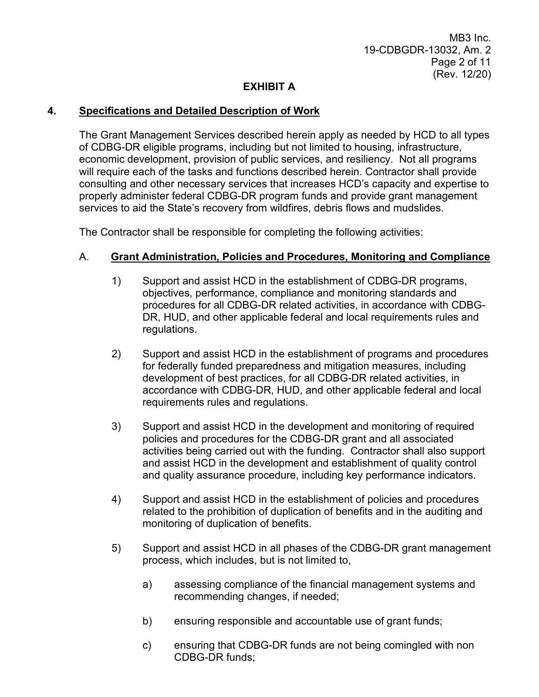# **EXHIBIT A**

# **4. Specifications and Detailed Description of Work**

 economic development, provision of public services, and resiliency. Not all programs consulting and other necessary services that increases HCD's capacity and expertise to The Grant Management Services described herein apply as needed by HCD to all types of CDBG-DR eligible programs, including but not limited to housing, infrastructure, will require each of the tasks and functions described herein. Contractor shall provide properly administer federal CDBG-DR program funds and provide grant management services to aid the State's recovery from wildfires, debris flows and mudslides.

The Contractor shall be responsible for completing the following activities:

### A. **Grant Administration, Policies and Procedures, Monitoring and Compliance**

- objectives, performance, compliance and monitoring standards and 1) Support and assist HCD in the establishment of CDBG-DR programs, procedures for all CDBG-DR related activities, in accordance with CDBG - DR, HUD, and other applicable federal and local requirements rules and regulations.
- accordance with CDBG-DR, HUD, and other applicable federal and local 2) Support and assist HCD in the establishment of programs and procedures for federally funded preparedness and mitigation measures, including development of best practices, for all CDBG-DR related activities, in requirements rules and regulations.
- activities being carried out with the funding. Contractor shall also support 3) Support and assist HCD in the development and monitoring of required policies and procedures for the CDBG-DR grant and all associated and assist HCD in the development and establishment of quality control and quality assurance procedure, including key performance indicators.
- 4) Support and assist HCD in the establishment of policies and procedures related to the prohibition of duplication of benefits and in the auditing and monitoring of duplication of benefits.
- 5) Support and assist HCD in all phases of the CDBG-DR grant management process, which includes, but is not limited to,
	- a) assessing compliance of the financial management systems and recommending changes, if needed;
	- b) ensuring responsible and accountable use of grant funds;
	- c) ensuring that CDBG-DR funds are not being comingled with non CDBG-DR funds;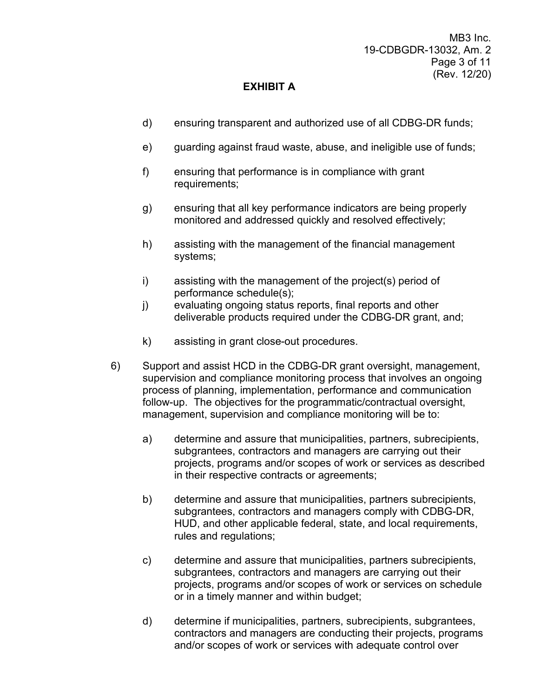# **EXHIBIT A**

- d) ensuring transparent and authorized use of all CDBG-DR funds;
- e) guarding against fraud waste, abuse, and ineligible use of funds;
- f) ensuring that performance is in compliance with grant requirements;
- g) ensuring that all key performance indicators are being properly monitored and addressed quickly and resolved effectively;
- systems; h) assisting with the management of the financial management
- $i)$  assisting with the management of the project(s) period of performance schedule(s);
- deliverable products required under the CDBG-DR grant, and; j) evaluating ongoing status reports, final reports and other
- k) assisting in grant close-out procedures.
- follow-up. The objectives for the programmatic/contractual oversight, 6) Support and assist HCD in the CDBG-DR grant oversight, management, supervision and compliance monitoring process that involves an ongoing process of planning, implementation, performance and communication management, supervision and compliance monitoring will be to:
	- a) determine and assure that municipalities, partners, subrecipients, subgrantees, contractors and managers are carrying out their projects, programs and/or scopes of work or services as described in their respective contracts or agreements;
	- b) determine and assure that municipalities, partners subrecipients, subgrantees, contractors and managers comply with CDBG-DR, HUD, and other applicable federal, state, and local requirements, rules and regulations;
	- c) determine and assure that municipalities, partners subrecipients, subgrantees, contractors and managers are carrying out their projects, programs and/or scopes of work or services on schedule or in a timely manner and within budget;
	- contractors and managers are conducting their projects, programs and/or scopes of work or services with adequate control over d) determine if municipalities, partners, subrecipients, subgrantees,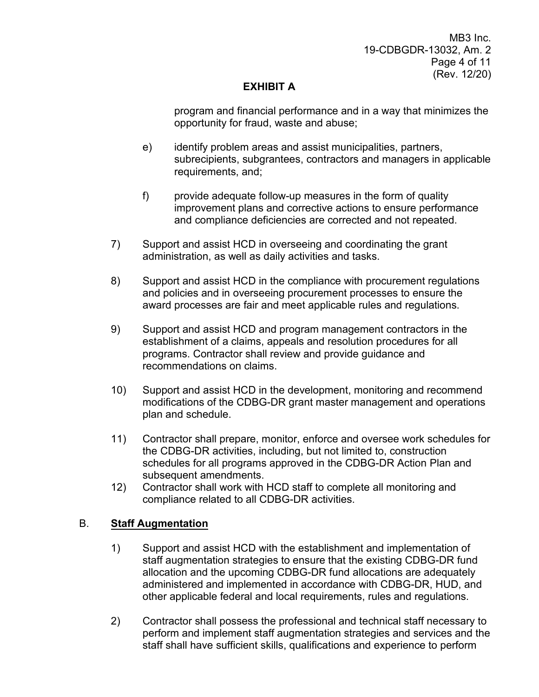MB3 Inc. 19-CDBGDR-13032, Am. 2 Page 4 of 11 (Rev. 12/20)

# **EXHIBIT A**

 program and financial performance and in a way that minimizes the opportunity for fraud, waste and abuse;

- e) identify problem areas and assist municipalities, partners, subrecipients, subgrantees, contractors and managers in applicable requirements, and;
- f) provide adequate follow-up measures in the form of quality improvement plans and corrective actions to ensure performance and compliance deficiencies are corrected and not repeated.
- 7) Support and assist HCD in overseeing and coordinating the grant administration, as well as daily activities and tasks.
- award processes are fair and meet applicable rules and regulations. 8) Support and assist HCD in the compliance with procurement regulations and policies and in overseeing procurement processes to ensure the
- recommendations on claims. 9) Support and assist HCD and program management contractors in the establishment of a claims, appeals and resolution procedures for all programs. Contractor shall review and provide guidance and
- 10) Support and assist HCD in the development, monitoring and recommend modifications of the CDBG-DR grant master management and operations plan and schedule.
- 11) Contractor shall prepare, monitor, enforce and oversee work schedules for the CDBG-DR activities, including, but not limited to, construction schedules for all programs approved in the CDBG-DR Action Plan and subsequent amendments.
- 12) Contractor shall work with HCD staff to complete all monitoring and compliance related to all CDBG-DR activities.

# B. **Staff Augmentation**

- 1) Support and assist HCD with the establishment and implementation of staff augmentation strategies to ensure that the existing CDBG-DR fund allocation and the upcoming CDBG-DR fund allocations are adequately administered and implemented in accordance with CDBG-DR, HUD, and other applicable federal and local requirements, rules and regulations.
- 2) Contractor shall possess the professional and technical staff necessary to perform and implement staff augmentation strategies and services and the staff shall have sufficient skills, qualifications and experience to perform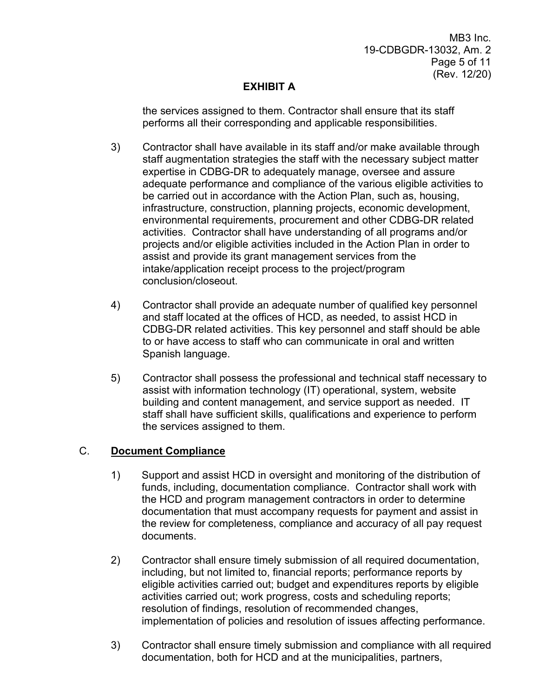MB3 Inc. 19-CDBGDR-13032, Am. 2 Page 5 of 11 (Rev. 12/20)

# **EXHIBIT A**

the services assigned to them. Contractor shall ensure that its staff performs all their corresponding and applicable responsibilities.

- 3) Contractor shall have available in its staff and/or make available through staff augmentation strategies the staff with the necessary subject matter activities. Contractor shall have understanding of all programs and/or assist and provide its grant management services from the conclusion/closeout. expertise in CDBG-DR to adequately manage, oversee and assure adequate performance and compliance of the various eligible activities to be carried out in accordance with the Action Plan, such as, housing, infrastructure, construction, planning projects, economic development, environmental requirements, procurement and other CDBG-DR related projects and/or eligible activities included in the Action Plan in order to intake/application receipt process to the project/program
- 4) Contractor shall provide an adequate number of qualified key personnel and staff located at the offices of HCD, as needed, to assist HCD in CDBG-DR related activities. This key personnel and staff should be able to or have access to staff who can communicate in oral and written Spanish language.
- 5) Contractor shall possess the professional and technical staff necessary to assist with information technology (IT) operational, system, website building and content management, and service support as needed. IT staff shall have sufficient skills, qualifications and experience to perform the services assigned to them.

# C. **Document Compliance**

- funds, including, documentation compliance. Contractor shall work with the review for completeness, compliance and accuracy of all pay request 1) Support and assist HCD in oversight and monitoring of the distribution of the HCD and program management contractors in order to determine documentation that must accompany requests for payment and assist in documents.
- implementation of policies and resolution of issues affecting performance. 2) Contractor shall ensure timely submission of all required documentation, including, but not limited to, financial reports; performance reports by eligible activities carried out; budget and expenditures reports by eligible activities carried out; work progress, costs and scheduling reports; resolution of findings, resolution of recommended changes,
- implementation of policies and resolution of issues affecting performance. 3) Contractor shall ensure timely submission and compliance with all required documentation, both for HCD and at the municipalities, partners,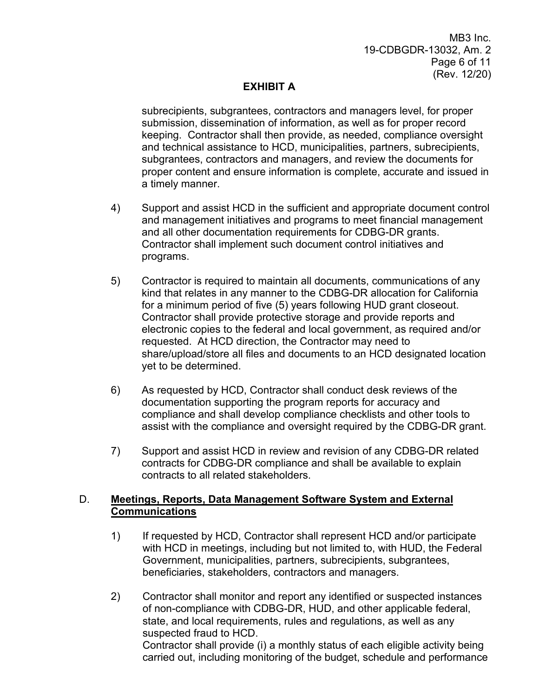MB3 Inc. 19-CDBGDR-13032, Am. 2 Page 6 of 11 (Rev. 12/20)

# **EXHIBIT A**

 submission, dissemination of information, as well as for proper record keeping. Contractor shall then provide, as needed, compliance oversight subgrantees, contractors and managers, and review the documents for subrecipients, subgrantees, contractors and managers level, for proper and technical assistance to HCD, municipalities, partners, subrecipients, proper content and ensure information is complete, accurate and issued in a timely manner.

- 4) Support and assist HCD in the sufficient and appropriate document control and all other documentation requirements for CDBG-DR grants. and management initiatives and programs to meet financial management Contractor shall implement such document control initiatives and programs.
- for a minimum period of five (5) years following HUD grant closeout. 5) Contractor is required to maintain all documents, communications of any kind that relates in any manner to the CDBG-DR allocation for California Contractor shall provide protective storage and provide reports and electronic copies to the federal and local government, as required and/or requested. At HCD direction, the Contractor may need to share/upload/store all files and documents to an HCD designated location yet to be determined.
- 6) As requested by HCD, Contractor shall conduct desk reviews of the assist with the compliance and oversight required by the CDBG-DR grant. documentation supporting the program reports for accuracy and compliance and shall develop compliance checklists and other tools to
- 7) Support and assist HCD in review and revision of any CDBG-DR related contracts for CDBG-DR compliance and shall be available to explain contracts to all related stakeholders.

# D. **Meetings, Reports, Data Management Software System and External Communications**

- 1) If requested by HCD, Contractor shall represent HCD and/or participate with HCD in meetings, including but not limited to, with HUD, the Federal Government, municipalities, partners, subrecipients, subgrantees, beneficiaries, stakeholders, contractors and managers.
- Contractor shall provide (i) a monthly status of each eligible activity being 2) Contractor shall monitor and report any identified or suspected instances of non-compliance with CDBG-DR, HUD, and other applicable federal, state, and local requirements, rules and regulations, as well as any suspected fraud to HCD.

carried out, including monitoring of the budget, schedule and performance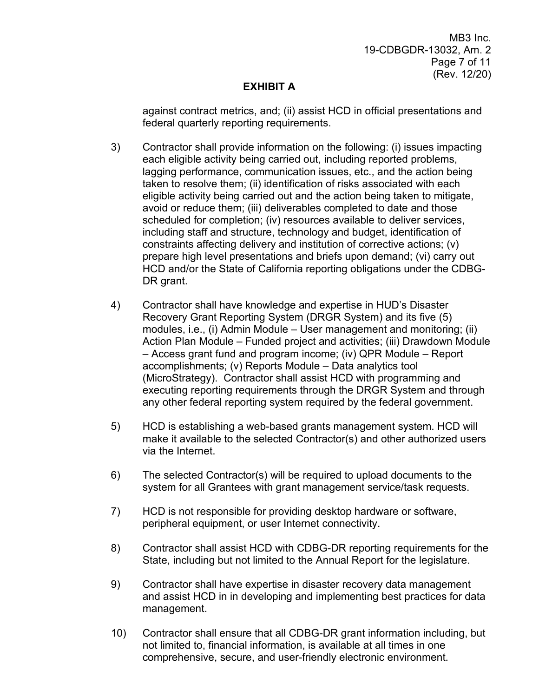MB3 Inc. 19-CDBGDR-13032, Am. 2 Page 7 of 11 (Rev. 12/20)

# **EXHIBIT A**

 federal quarterly reporting requirements. against contract metrics, and; (ii) assist HCD in official presentations and

- lagging performance, communication issues, etc., and the action being prepare high level presentations and briefs upon demand; (vi) carry out 3) Contractor shall provide information on the following: (i) issues impacting each eligible activity being carried out, including reported problems, taken to resolve them; (ii) identification of risks associated with each eligible activity being carried out and the action being taken to mitigate, avoid or reduce them; (iii) deliverables completed to date and those scheduled for completion; (iv) resources available to deliver services, including staff and structure, technology and budget, identification of constraints affecting delivery and institution of corrective actions; (v) HCD and/or the State of California reporting obligations under the CDBG - DR grant.
- (MicroStrategy). Contractor shall assist HCD with programming and any other federal reporting system required by the federal government. 4) Contractor shall have knowledge and expertise in HUD's Disaster Recovery Grant Reporting System (DRGR System) and its five (5) modules, i.e., (i) Admin Module – User management and monitoring; (ii) Action Plan Module – Funded project and activities; (iii) Drawdown Module Access grant fund and program income; (iv) QPR Module – Report accomplishments; (v) Reports Module – Data analytics tool executing reporting requirements through the DRGR System and through – Access grant fund and program income; (iv) QPR Module – Report<br>accomplishments; (v) Reports Module – Data analytics tool<br>(MicroStrategy). Contractor shall assist HCD with programming and<br>executing reporting requirements
- via the Internet. 5) HCD is establishing a web-based grants management system. HCD will make it available to the selected Contractor(s) and other authorized users
- system for all Grantees with grant management service/task requests.  $6$ ) The selected Contractor(s) will be required to upload documents to the
- peripheral equipment, or user Internet connectivity. 7) HCD is not responsible for providing desktop hardware or software,
- 8) Contractor shall assist HCD with CDBG-DR reporting requirements for the State, including but not limited to the Annual Report for the legislature.
- 9) Contractor shall have expertise in disaster recovery data management and assist HCD in in developing and implementing best practices for data management.
- not limited to, financial information, is available at all times in one comprehensive, secure, and user-friendly electronic environment. 10) Contractor shall ensure that all CDBG-DR grant information including, but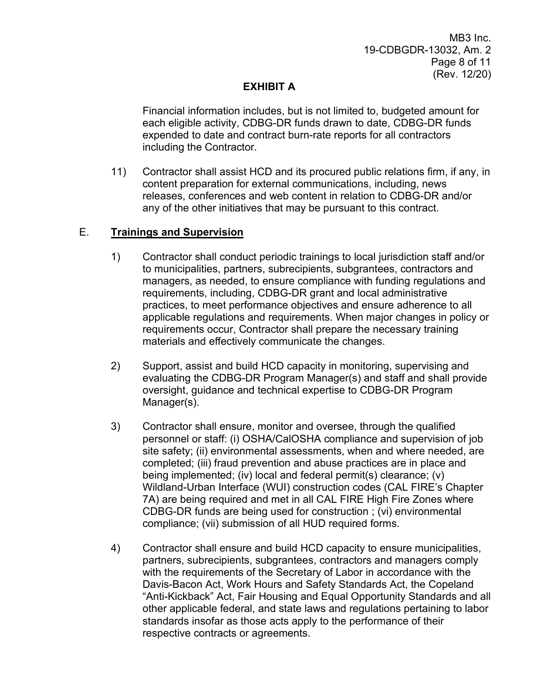MB3 Inc. 19-CDBGDR-13032, Am. 2 Page 8 of 11 (Rev. 12/20)

# **EXHIBIT A**

Financial information includes, but is not limited to, budgeted amount for each eligible activity, CDBG-DR funds drawn to date, CDBG-DR funds expended to date and contract burn-rate reports for all contractors including the Contractor.

 11) Contractor shall assist HCD and its procured public relations firm, if any, in any of the other initiatives that may be pursuant to this contract. content preparation for external communications, including, news releases, conferences and web content in relation to CDBG-DR and/or

# E. **Trainings and Supervision**

- managers, as needed, to ensure compliance with funding regulations and 1) Contractor shall conduct periodic trainings to local jurisdiction staff and/or to municipalities, partners, subrecipients, subgrantees, contractors and requirements, including, CDBG-DR grant and local administrative practices, to meet performance objectives and ensure adherence to all applicable regulations and requirements. When major changes in policy or requirements occur, Contractor shall prepare the necessary training materials and effectively communicate the changes.
- 2) Support, assist and build HCD capacity in monitoring, supervising and evaluating the CDBG-DR Program Manager(s) and staff and shall provide oversight, guidance and technical expertise to CDBG-DR Program Manager(s).
- compliance; (vii) submission of all HUD required forms. 3) Contractor shall ensure, monitor and oversee, through the qualified personnel or staff: (i) OSHA/CalOSHA compliance and supervision of job site safety; (ii) environmental assessments, when and where needed, are completed; (iii) fraud prevention and abuse practices are in place and being implemented; (iv) local and federal permit(s) clearance; (v) Wildland-Urban Interface (WUI) construction codes (CAL FIRE's Chapter 7A) are being required and met in all CAL FIRE High Fire Zones where CDBG-DR funds are being used for construction ; (vi) environmental
- standards insofar as those acts apply to the performance of their 4) Contractor shall ensure and build HCD capacity to ensure municipalities, partners, subrecipients, subgrantees, contractors and managers comply with the requirements of the Secretary of Labor in accordance with the Davis-Bacon Act, Work Hours and Safety Standards Act, the Copeland "Anti-Kickback" Act, Fair Housing and Equal Opportunity Standards and all other applicable federal, and state laws and regulations pertaining to labor respective contracts or agreements.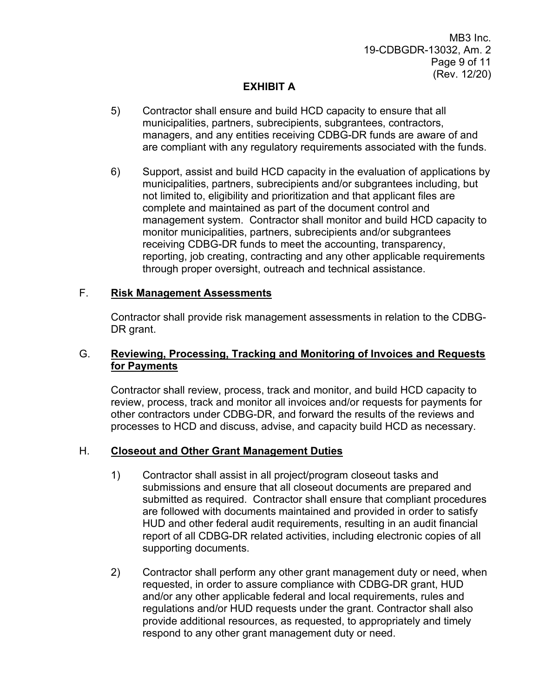MB3 Inc. 19-CDBGDR-13032, Am. 2 Page 9 of 11 (Rev. 12/20)

# **EXHIBIT A**

- are compliant with any regulatory requirements associated with the funds. 5) Contractor shall ensure and build HCD capacity to ensure that all municipalities, partners, subrecipients, subgrantees, contractors, managers, and any entities receiving CDBG-DR funds are aware of and
- municipalities, partners, subrecipients and/or subgrantees including, but management system. Contractor shall monitor and build HCD capacity to 6) Support, assist and build HCD capacity in the evaluation of applications by not limited to, eligibility and prioritization and that applicant files are complete and maintained as part of the document control and monitor municipalities, partners, subrecipients and/or subgrantees receiving CDBG-DR funds to meet the accounting, transparency, reporting, job creating, contracting and any other applicable requirements through proper oversight, outreach and technical assistance.

# F. **Risk Management Assessments**

Contractor shall provide risk management assessments in relation to the CDBG - DR grant.

# G. **Reviewing, Processing, Tracking and Monitoring of Invoices and Requests for Payments**

 Contractor shall review, process, track and monitor, and build HCD capacity to review, process, track and monitor all invoices and/or requests for payments for other contractors under CDBG-DR, and forward the results of the reviews and processes to HCD and discuss, advise, and capacity build HCD as necessary.

### H. **Closeout and Other Grant Management Duties**

- 1) Contractor shall assist in all project/program closeout tasks and submitted as required. Contractor shall ensure that compliant procedures report of all CDBG-DR related activities, including electronic copies of all supporting documents. submissions and ensure that all closeout documents are prepared and are followed with documents maintained and provided in order to satisfy HUD and other federal audit requirements, resulting in an audit financial
- supporting documents.<br>2) Contractor shall perform any other grant management duty or need, when provide additional resources, as requested, to appropriately and timely requested, in order to assure compliance with CDBG-DR grant, HUD and/or any other applicable federal and local requirements, rules and regulations and/or HUD requests under the grant. Contractor shall also respond to any other grant management duty or need.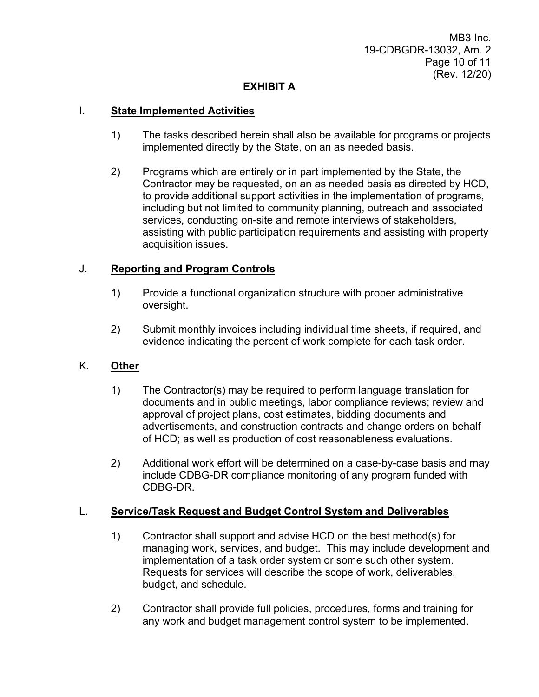MB3 Inc. 19-CDBGDR-13032, Am. 2 Page 10 of 11 (Rev. 12/20)

# **EXHIBIT A**

### I. **State Implemented Activities**

- 1) The tasks described herein shall also be available for programs or projects implemented directly by the State, on an as needed basis.
- 2) Programs which are entirely or in part implemented by the State, the Contractor may be requested, on an as needed basis as directed by HCD, to provide additional support activities in the implementation of programs, including but not limited to community planning, outreach and associated services, conducting on-site and remote interviews of stakeholders, assisting with public participation requirements and assisting with property acquisition issues.

### J. **Reporting and Program Controls**

- 1) Provide a functional organization structure with proper administrative oversight.
- 2) Submit monthly invoices including individual time sheets, if required, and evidence indicating the percent of work complete for each task order.

### K. **Other**

- approval of project plans, cost estimates, bidding documents and 1) The Contractor(s) may be required to perform language translation for documents and in public meetings, labor compliance reviews; review and advertisements, and construction contracts and change orders on behalf of HCD; as well as production of cost reasonableness evaluations.
- 2) Additional work effort will be determined on a case-by-case basis and may include CDBG-DR compliance monitoring of any program funded with CDBG-DR.

### L. **Service/Task Request and Budget Control System and Deliverables**

- managing work, services, and budget. This may include development and implementation of a task order system or some such other system. 1) Contractor shall support and advise HCD on the best method(s) for Requests for services will describe the scope of work, deliverables, budget, and schedule.
- 2) Contractor shall provide full policies, procedures, forms and training for any work and budget management control system to be implemented.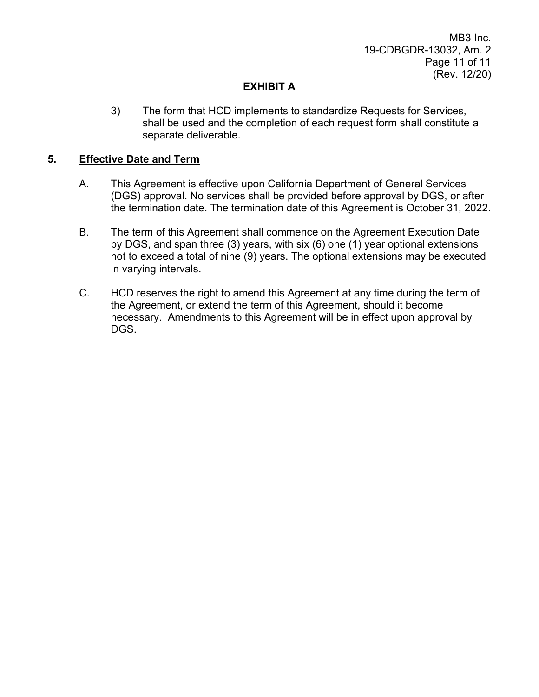MB3 Inc. 19-CDBGDR-13032, Am. 2 Page 11 of 11 (Rev. 12/20)

# **EXHIBIT A**

3) The form that HCD implements to standardize Requests for Services, shall be used and the completion of each request form shall constitute a separate deliverable.

# **5. Effective Date and Term**

- A. This Agreement is effective upon California Department of General Services (DGS) approval. No services shall be provided before approval by DGS, or after the termination date. The termination date of this Agreement is October 31, 2022.
- by DGS, and span three (3) years, with six (6) one (1) year optional extensions not to exceed a total of nine (9) years. The optional extensions may be executed B. The term of this Agreement shall commence on the Agreement Execution Date in varying intervals.
- C. HCD reserves the right to amend this Agreement at any time during the term of necessary. Amendments to this Agreement will be in effect upon approval by the Agreement, or extend the term of this Agreement, should it become DGS.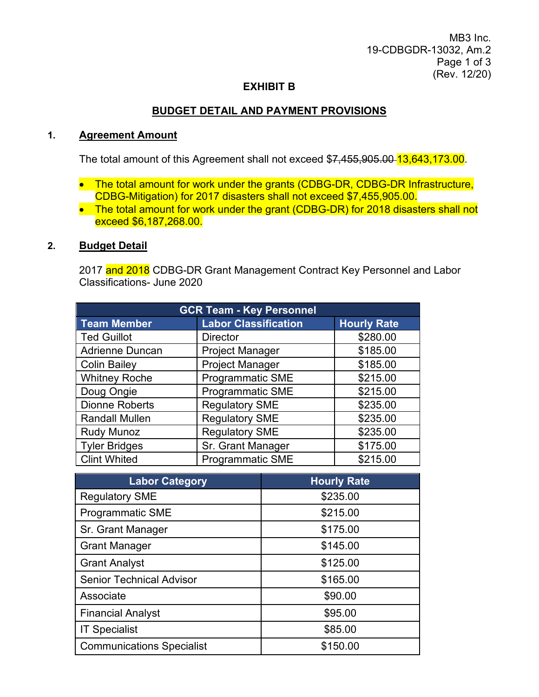MB3 Inc. Page 1 of 3 (Rev. 12/20) 19-CDBGDR-13032, Am.2

### **EXHIBIT B**

### **BUDGET DETAIL AND PAYMENT PROVISIONS**

### **1. Agreement Amount**

The total amount of this Agreement shall not exceed \$7,455,905.00 13,643,173.00.

- The total amount for work under the grants (CDBG-DR, CDBG-DR Infrastructure, CDBG-Mitigation) for 2017 disasters shall not exceed \$7,455,905.00.
- The total amount for work under the grant (CDBG-DR) for 2018 disasters shall not exceed \$6,187,268.00.

### **2. Budget Detail**

2017 <mark>and 2018</mark> CDBG-DR Grant Management Contract Key Personnel and Labor Classifications- June 2020

| <b>GCR Team - Key Personnel</b> |                             |                    |  |
|---------------------------------|-----------------------------|--------------------|--|
| <b>Team Member</b>              | <b>Labor Classification</b> | <b>Hourly Rate</b> |  |
| <b>Ted Guillot</b>              | <b>Director</b>             | \$280.00           |  |
| <b>Adrienne Duncan</b>          | <b>Project Manager</b>      | \$185.00           |  |
| <b>Colin Bailey</b>             | <b>Project Manager</b>      | \$185.00           |  |
| <b>Whitney Roche</b>            | <b>Programmatic SME</b>     | \$215.00           |  |
| Doug Ongie                      | <b>Programmatic SME</b>     | \$215.00           |  |
| <b>Dionne Roberts</b>           | <b>Regulatory SME</b>       | \$235.00           |  |
| <b>Randall Mullen</b>           | <b>Regulatory SME</b>       | \$235.00           |  |
| <b>Rudy Munoz</b>               | <b>Regulatory SME</b>       | \$235.00           |  |
| <b>Tyler Bridges</b>            | Sr. Grant Manager           | \$175.00           |  |
| <b>Clint Whited</b>             | <b>Programmatic SME</b>     | \$215.00           |  |

| <b>Labor Category</b>            | <b>Hourly Rate</b> |
|----------------------------------|--------------------|
| <b>Regulatory SME</b>            | \$235.00           |
| <b>Programmatic SME</b>          | \$215.00           |
| Sr. Grant Manager                | \$175.00           |
| <b>Grant Manager</b>             | \$145.00           |
| <b>Grant Analyst</b>             | \$125.00           |
| <b>Senior Technical Advisor</b>  | \$165.00           |
| Associate                        | \$90.00            |
| <b>Financial Analyst</b>         | \$95.00            |
| <b>IT Specialist</b>             | \$85.00            |
| <b>Communications Specialist</b> | \$150.00           |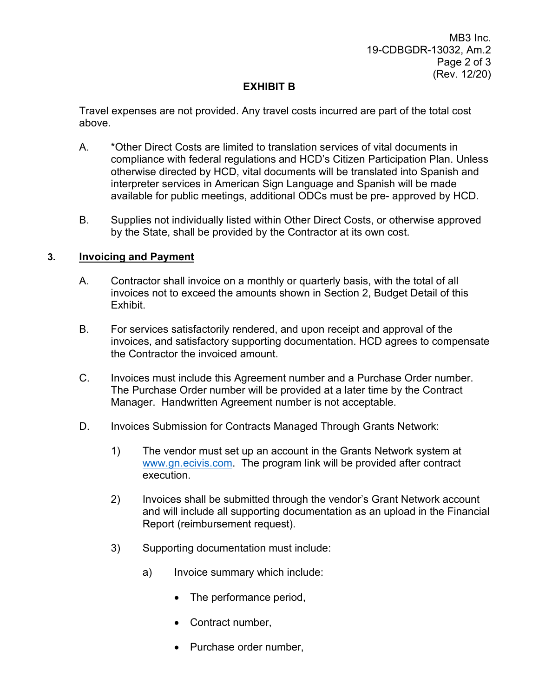# **EXHIBIT B**

above. Travel expenses are not provided. Any travel costs incurred are part of the total cost

- A. \* \*Other Direct Costs are limited to translation services of vital documents in compliance with federal regulations and HCD's Citizen Participation Plan. Unless otherwise directed by HCD, vital documents will be translated into Spanish and interpreter services in American Sign Language and Spanish will be made available for public meetings, additional ODCs must be pre- approved by HCD.
- B. Supplies not individually listed within Other Direct Costs, or otherwise approved by the State, shall be provided by the Contractor at its own cost.

### **3. Invoicing and Payment**

- A. Contractor shall invoice on a monthly or quarterly basis, with the total of all invoices not to exceed the amounts shown in Section 2, Budget Detail of this Exhibit.
- B. For services satisfactorily rendered, and upon receipt and approval of the invoices, and satisfactory supporting documentation. HCD agrees to compensate the Contractor the invoiced amount.
- Invoices must include this Agreement number and a Purchase Order number. Manager. Handwritten Agreement number is not acceptable. C. Invoices must include this Agreement number and a Purchase Order number. The Purchase Order number will be provided at a later time by the Contract
- D. Invoices Submission for Contracts Managed Through Grants Network:
	- 1) The vendor must set up an account in the Grants Network system at [www.gn.ecivis.com.](http://www.gn.ecivis.com/) The program link will be provided after contract execution.
	- 2) Invoices shall be submitted through the vendor's Grant Network account and will include all supporting documentation as an upload in the Financial Report (reimbursement request).
	- 3) Supporting documentation must include:
		- a) Invoice summary which include:
			- The performance period,
			- Contract number,
			- Purchase order number,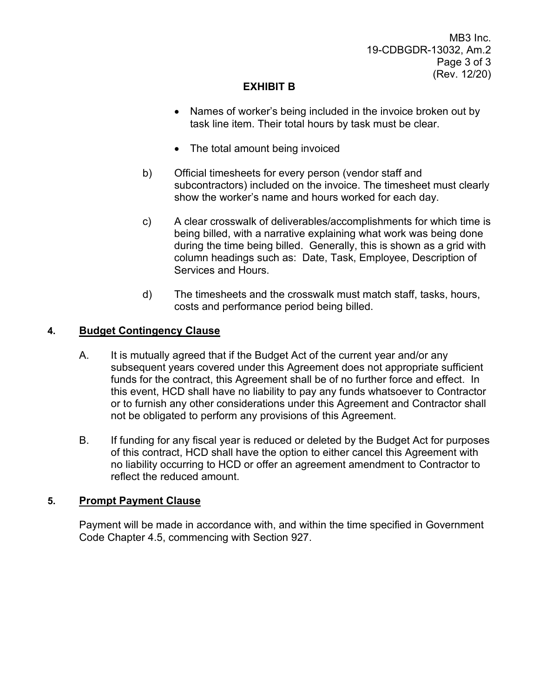MB3 Inc. Page 3 of 3 (Rev. 12/20) 19-CDBGDR-13032, Am.2

# **EXHIBIT B**

- • Names of worker's being included in the invoice broken out by task line item. Their total hours by task must be clear.
- The total amount being invoiced
- b) Official timesheets for every person (vendor staff and show the worker's name and hours worked for each day. subcontractors) included on the invoice. The timesheet must clearly
- c) A clear crosswalk of deliverables/accomplishments for which time is being billed, with a narrative explaining what work was being done during the time being billed. Generally, this is shown as a grid with column headings such as: Date, Task, Employee, Description of Services and Hours. show the worker's name and hours worked for each day.<br>
c) A clear crosswalk of deliverables/accomplishments for which time<br>
being billed, with a narrative explaining what work was being done<br>
during the time being billed.
- costs and performance period being billed.

### **4. Budget Contingency Clause**

- A. It is mutually agreed that if the Budget Act of the current year and/or any subsequent years covered under this Agreement does not appropriate sufficient not be obligated to perform any provisions of this Agreement. funds for the contract, this Agreement shall be of no further force and effect. In this event, HCD shall have no liability to pay any funds whatsoever to Contractor or to furnish any other considerations under this Agreement and Contractor shall
- B. If funding for any fiscal year is reduced or deleted by the Budget Act for purposes of this contract, HCD shall have the option to either cancel this Agreement with no liability occurring to HCD or offer an agreement amendment to Contractor to reflect the reduced amount.

# **5. Prompt Payment Clause**

Payment will be made in accordance with, and within the time specified in Government Code Chapter 4.5, commencing with Section 927.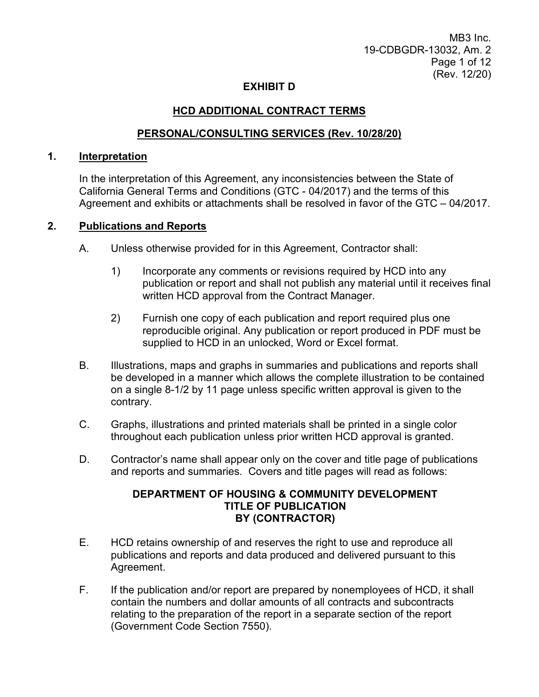MB3 Inc. 19-CDBGDR-13032, Am. 2 Page 1 of 12 (Rev. 12/20)

### **EXHIBIT D**

# **HCD ADDITIONAL CONTRACT TERMS**

### **PERSONAL/CONSULTING SERVICES (Rev. 10/28/20)**

### **1. Interpretation**

 California General Terms and Conditions (GTC - 04/2017) and the terms of this Agreement and exhibits or attachments shall be resolved in favor of the GTC – 04/2017. In the interpretation of this Agreement, any inconsistencies between the State of

### **2. Publications and Reports**

- A. Unless otherwise provided for in this Agreement, Contractor shall:
	- 1) Incorporate any comments or revisions required by HCD into any publication or report and shall not publish any material until it receives final written HCD approval from the Contract Manager.
	- supplied to HCD in an unlocked, Word or Excel format. 2) Furnish one copy of each publication and report required plus one reproducible original. Any publication or report produced in PDF must be
- B. Illustrations, maps and graphs in summaries and publications and reports shall be developed in a manner which allows the complete illustration to be contained on a single 8-1/2 by 11 page unless specific written approval is given to the contrary.
- C. Graphs, illustrations and printed materials shall be printed in a single color throughout each publication unless prior written HCD approval is granted.
- D. Contractor's name shall appear only on the cover and title page of publications and reports and summaries. Covers and title pages will read as follows:

### **DEPARTMENT OF HOUSING & COMMUNITY DEVELOPMENT TITLE OF PUBLICATION BY (CONTRACTOR)**

- E. HCD retains ownership of and reserves the right to use and reproduce all publications and reports and data produced and delivered pursuant to this Agreement.
- F. If the publication and/or report are prepared by nonemployees of HCD, it shall contain the numbers and dollar amounts of all contracts and subcontracts relating to the preparation of the report in a separate section of the report (Government Code Section 7550).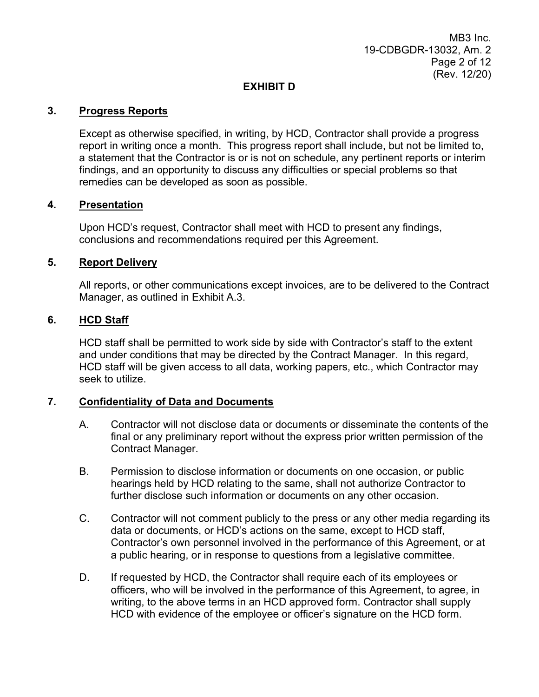# **EXHIBIT D**

### **3. Progress Reports**

 report in writing once a month. This progress report shall include, but not be limited to, a statement that the Contractor is or is not on schedule, any pertinent reports or interim Except as otherwise specified, in writing, by HCD, Contractor shall provide a progress findings, and an opportunity to discuss any difficulties or special problems so that remedies can be developed as soon as possible.

### **4. Presentation**

 Upon HCD's request, Contractor shall meet with HCD to present any findings, conclusions and recommendations required per this Agreement.

### **5. Report Delivery**

All reports, or other communications except invoices, are to be delivered to the Contract Manager, as outlined in Exhibit A.3.

### **6. HCD Staff**

 and under conditions that may be directed by the Contract Manager. In this regard, HCD staff will be given access to all data, working papers, etc., which Contractor may HCD staff shall be permitted to work side by side with Contractor's staff to the extent seek to utilize.

### **7. Confidentiality of Data and Documents**

- A. Contractor will not disclose data or documents or disseminate the contents of the final or any preliminary report without the express prior written permission of the Contract Manager.
- B. Permission to disclose information or documents on one occasion, or public hearings held by HCD relating to the same, shall not authorize Contractor to further disclose such information or documents on any other occasion.
- Contractor's own personnel involved in the performance of this Agreement, or at C. Contractor will not comment publicly to the press or any other media regarding its data or documents, or HCD's actions on the same, except to HCD staff, a public hearing, or in response to questions from a legislative committee.
- D. If requested by HCD, the Contractor shall require each of its employees or officers, who will be involved in the performance of this Agreement, to agree, in writing, to the above terms in an HCD approved form. Contractor shall supply HCD with evidence of the employee or officer's signature on the HCD form.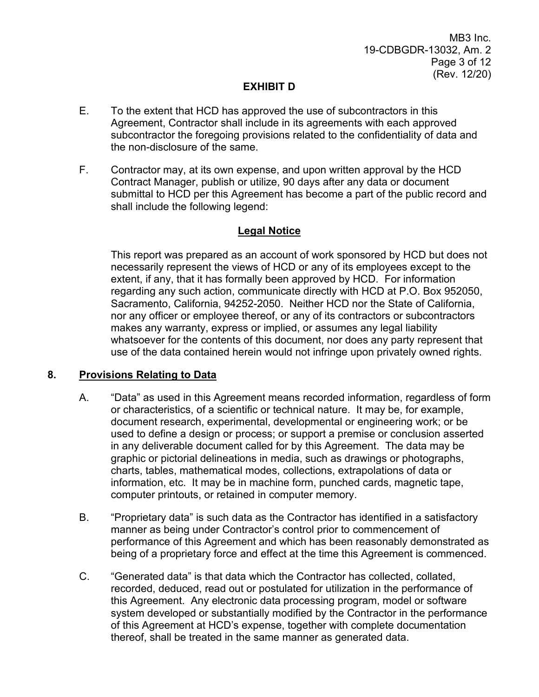# **EXHIBIT D**

- E. To the extent that HCD has approved the use of subcontractors in this Agreement, Contractor shall include in its agreements with each approved subcontractor the foregoing provisions related to the confidentiality of data and the non-disclosure of the same.
- F. Contractor may, at its own expense, and upon written approval by the HCD Contract Manager, publish or utilize, 90 days after any data or document submittal to HCD per this Agreement has become a part of the public record and shall include the following legend:

# **Legal Notice**

 This report was prepared as an account of work sponsored by HCD but does not necessarily represent the views of HCD or any of its employees except to the extent, if any, that it has formally been approved by HCD. For information Sacramento, California, 94252-2050. Neither HCD nor the State of California, whatsoever for the contents of this document, nor does any party represent that regarding any such action, communicate directly with HCD at P.O. Box 952050, nor any officer or employee thereof, or any of its contractors or subcontractors makes any warranty, express or implied, or assumes any legal liability use of the data contained herein would not infringe upon privately owned rights.

### **8. Provisions Relating to Data**

- A. "Data" as used in this Agreement means recorded information, regardless of form or characteristics, of a scientific or technical nature. It may be, for example, in any deliverable document called for by this Agreement. The data may be charts, tables, mathematical modes, collections, extrapolations of data or computer printouts, or retained in computer memory. document research, experimental, developmental or engineering work; or be used to define a design or process; or support a premise or conclusion asserted graphic or pictorial delineations in media, such as drawings or photographs, information, etc. It may be in machine form, punched cards, magnetic tape,
- manner as being under Contractor's control prior to commencement of B. "Proprietary data" is such data as the Contractor has identified in a satisfactory performance of this Agreement and which has been reasonably demonstrated as being of a proprietary force and effect at the time this Agreement is commenced.
- this Agreement. Any electronic data processing program, model or software of this Agreement at HCD's expense, together with complete documentation C. "Generated data" is that data which the Contractor has collected, collated, recorded, deduced, read out or postulated for utilization in the performance of system developed or substantially modified by the Contractor in the performance thereof, shall be treated in the same manner as generated data.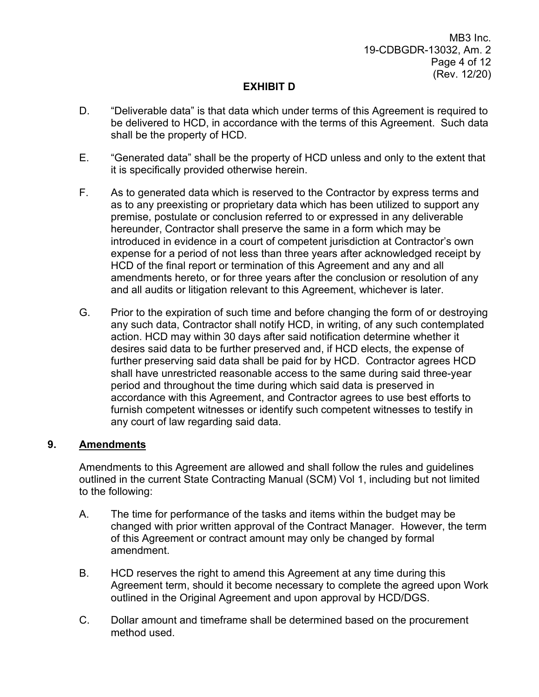MB3 Inc. 19-CDBGDR-13032, Am. 2 Page 4 of 12 (Rev. 12/20)

# **EXHIBIT D**

- be delivered to HCD, in accordance with the terms of this Agreement. Such data D. "Deliverable data" is that data which under terms of this Agreement is required to shall be the property of HCD.
- E. "Generated data" shall be the property of HCD unless and only to the extent that it is specifically provided otherwise herein.
- amendments hereto, or for three years after the conclusion or resolution of any F. As to generated data which is reserved to the Contractor by express terms and as to any preexisting or proprietary data which has been utilized to support any premise, postulate or conclusion referred to or expressed in any deliverable hereunder, Contractor shall preserve the same in a form which may be introduced in evidence in a court of competent jurisdiction at Contractor's own expense for a period of not less than three years after acknowledged receipt by HCD of the final report or termination of this Agreement and any and all and all audits or litigation relevant to this Agreement, whichever is later.
- accordance with this Agreement, and Contractor agrees to use best efforts to G. Prior to the expiration of such time and before changing the form of or destroying any such data, Contractor shall notify HCD, in writing, of any such contemplated action. HCD may within 30 days after said notification determine whether it desires said data to be further preserved and, if HCD elects, the expense of further preserving said data shall be paid for by HCD. Contractor agrees HCD shall have unrestricted reasonable access to the same during said three-year period and throughout the time during which said data is preserved in furnish competent witnesses or identify such competent witnesses to testify in any court of law regarding said data.

### **9. Amendments**

Amendments to this Agreement are allowed and shall follow the rules and guidelines outlined in the current State Contracting Manual (SCM) Vol 1, including but not limited to the following:

- A. The time for performance of the tasks and items within the budget may be changed with prior written approval of the Contract Manager. However, the term of this Agreement or contract amount may only be changed by formal amendment.
- B. HCD reserves the right to amend this Agreement at any time during this Agreement term, should it become necessary to complete the agreed upon Work outlined in the Original Agreement and upon approval by HCD/DGS.
- C. Dollar amount and timeframe shall be determined based on the procurement method used.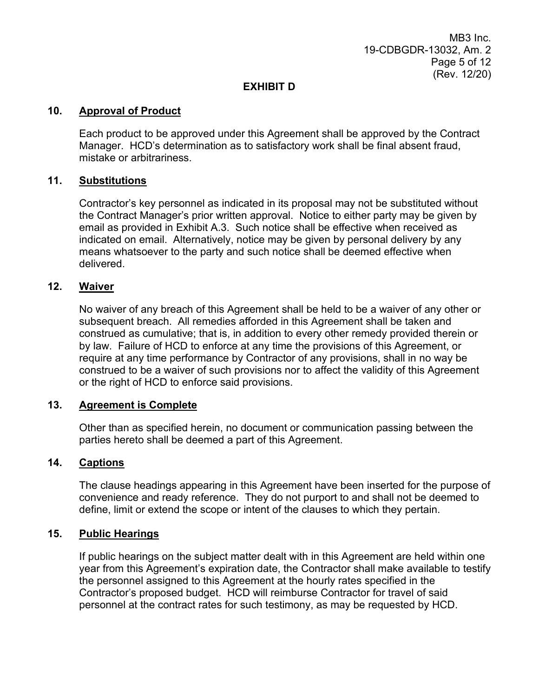MB3 Inc. 19-CDBGDR-13032, Am. 2 Page 5 of 12 (Rev. 12/20)

### **EXHIBIT D**

### **10. Approval of Product**

Each product to be approved under this Agreement shall be approved by the Contract Manager. HCD's determination as to satisfactory work shall be final absent fraud, mistake or arbitrariness.

### **11. Substitutions**

 the Contract Manager's prior written approval. Notice to either party may be given by email as provided in Exhibit A.3. Such notice shall be effective when received as indicated on email. Alternatively, notice may be given by personal delivery by any Contractor's key personnel as indicated in its proposal may not be substituted without means whatsoever to the party and such notice shall be deemed effective when delivered.

### **12. Waiver**

 No waiver of any breach of this Agreement shall be held to be a waiver of any other or by law. Failure of HCD to enforce at any time the provisions of this Agreement, or subsequent breach. All remedies afforded in this Agreement shall be taken and construed as cumulative; that is, in addition to every other remedy provided therein or require at any time performance by Contractor of any provisions, shall in no way be construed to be a waiver of such provisions nor to affect the validity of this Agreement or the right of HCD to enforce said provisions.

### **13. Agreement is Complete**

 parties hereto shall be deemed a part of this Agreement. Other than as specified herein, no document or communication passing between the

### **14. Captions**

 convenience and ready reference. They do not purport to and shall not be deemed to The clause headings appearing in this Agreement have been inserted for the purpose of define, limit or extend the scope or intent of the clauses to which they pertain.

#### $15.$ **15. Public Hearings**

 If public hearings on the subject matter dealt with in this Agreement are held within one the personnel assigned to this Agreement at the hourly rates specified in the year from this Agreement's expiration date, the Contractor shall make available to testify Contractor's proposed budget. HCD will reimburse Contractor for travel of said personnel at the contract rates for such testimony, as may be requested by HCD.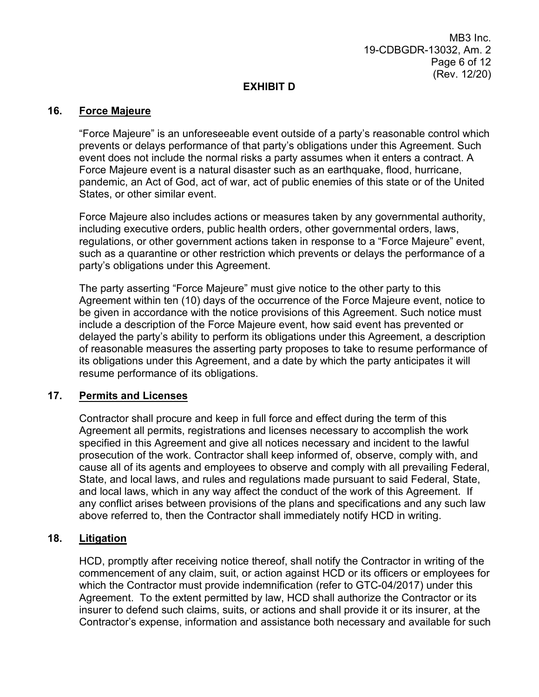# **EXHIBIT D**

### **16. Force Majeure**

 prevents or delays performance of that party's obligations under this Agreement. Such pandemic, an Act of God, act of war, act of public enemies of this state or of the United "Force Majeure" is an unforeseeable event outside of a party's reasonable control which event does not include the normal risks a party assumes when it enters a contract. A Force Majeure event is a natural disaster such as an earthquake, flood, hurricane, States, or other similar event.

 Force Majeure also includes actions or measures taken by any governmental authority, including executive orders, public health orders, other governmental orders, laws, regulations, or other government actions taken in response to a "Force Majeure" event, party's obligations under this Agreement. such as a quarantine or other restriction which prevents or delays the performance of a

The party asserting "Force Majeure" must give notice to the other party to this Agreement within ten (10) days of the occurrence of the Force Majeure event, notice to be given in accordance with the notice provisions of this Agreement. Such notice must include a description of the Force Majeure event, how said event has prevented or delayed the party's ability to perform its obligations under this Agreement, a description of reasonable measures the asserting party proposes to take to resume performance of its obligations under this Agreement, and a date by which the party anticipates it will resume performance of its obligations.

### **17. Permits and Licenses**

 prosecution of the work. Contractor shall keep informed of, observe, comply with, and cause all of its agents and employees to observe and comply with all prevailing Federal, and local laws, which in any way affect the conduct of the work of this Agreement. If Contractor shall procure and keep in full force and effect during the term of this Agreement all permits, registrations and licenses necessary to accomplish the work specified in this Agreement and give all notices necessary and incident to the lawful State, and local laws, and rules and regulations made pursuant to said Federal, State, any conflict arises between provisions of the plans and specifications and any such law above referred to, then the Contractor shall immediately notify HCD in writing.

### **18. Litigation**

HCD, promptly after receiving notice thereof, shall notify the Contractor in writing of the commencement of any claim, suit, or action against HCD or its officers or employees for which the Contractor must provide indemnification (refer to GTC-04/2017) under this Agreement. To the extent permitted by law, HCD shall authorize the Contractor or its insurer to defend such claims, suits, or actions and shall provide it or its insurer, at the Contractor's expense, information and assistance both necessary and available for such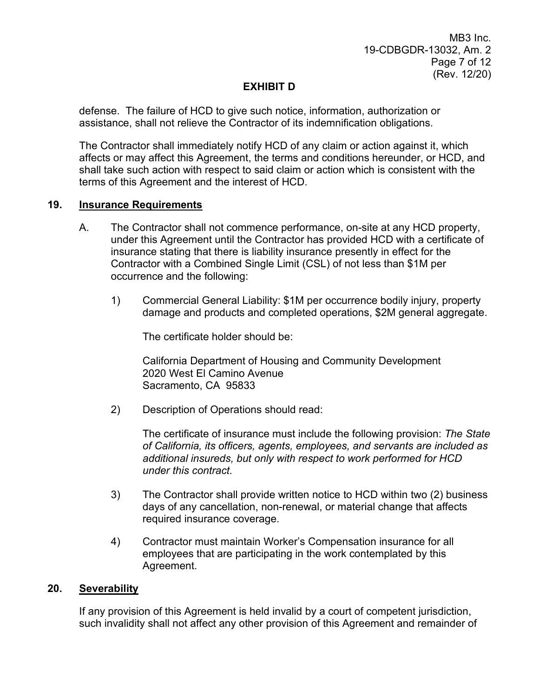### **EXHIBIT D**

assistance, shall not relieve the Contractor of its indemnification obligations. defense. The failure of HCD to give such notice, information, authorization or

 affects or may affect this Agreement, the terms and conditions hereunder, or HCD, and The Contractor shall immediately notify HCD of any claim or action against it, which shall take such action with respect to said claim or action which is consistent with the terms of this Agreement and the interest of HCD.

### **19. Insurance Requirements**

- A. The Contractor shall not commence performance, on-site at any HCD property, under this Agreement until the Contractor has provided HCD with a certificate of insurance stating that there is liability insurance presently in effect for the Contractor with a Combined Single Limit (CSL) of not less than \$1M per occurrence and the following:
	- 1) Commercial General Liability: \$1M per occurrence bodily injury, property damage and products and completed operations, \$2M general aggregate.

The certificate holder should be:

California Department of Housing and Community Development 2020 West El Camino Avenue Sacramento, CA 95833

2) Description of Operations should read:

The certificate of insurance must include the following provision: *The State of California, its officers, agents, employees, and servants are included as additional insureds, but only with respect to work performed for HCD under this contract.* 

- 3) The Contractor shall provide written notice to HCD within two (2) business days of any cancellation, non-renewal, or material change that affects required insurance coverage.
- employees that are participating in the work contemplated by this 4) Contractor must maintain Worker's Compensation insurance for all Agreement.

### **20. Severability**

 If any provision of this Agreement is held invalid by a court of competent jurisdiction, such invalidity shall not affect any other provision of this Agreement and remainder of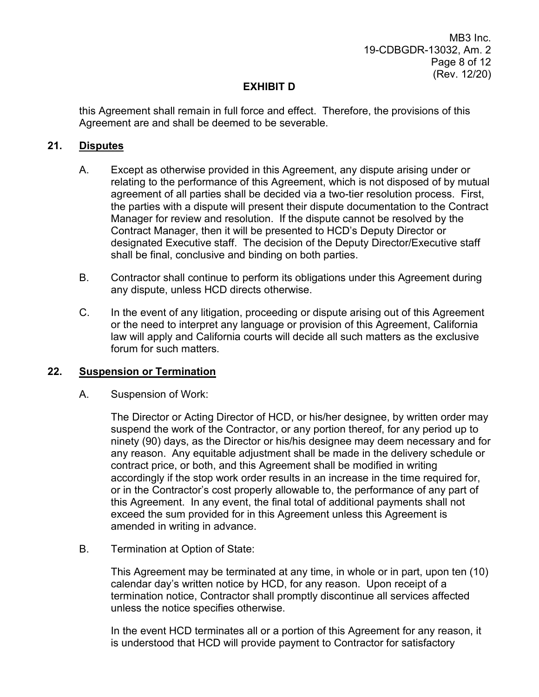MB3 Inc. 19-CDBGDR-13032, Am. 2 Page 8 of 12 (Rev. 12/20)

# **EXHIBIT D**

this Agreement shall remain in full force and effect. Therefore, the provisions of this Agreement are and shall be deemed to be severable.

# **21. Disputes**

- A. Except as otherwise provided in this Agreement, any dispute arising under or relating to the performance of this Agreement, which is not disposed of by mutual designated Executive staff. The decision of the Deputy Director/Executive staff agreement of all parties shall be decided via a two-tier resolution process. First, the parties with a dispute will present their dispute documentation to the Contract Manager for review and resolution. If the dispute cannot be resolved by the Contract Manager, then it will be presented to HCD's Deputy Director or shall be final, conclusive and binding on both parties.
- B. Contractor shall continue to perform its obligations under this Agreement during any dispute, unless HCD directs otherwise.
- C. In the event of any litigation, proceeding or dispute arising out of this Agreement or the need to interpret any language or provision of this Agreement, California law will apply and California courts will decide all such matters as the exclusive forum for such matters.

### **22. Suspension or Termination**

A. Suspension of Work:

 suspend the work of the Contractor, or any portion thereof, for any period up to contract price, or both, and this Agreement shall be modified in writing or in the Contractor's cost properly allowable to, the performance of any part of The Director or Acting Director of HCD, or his/her designee, by written order may ninety (90) days, as the Director or his/his designee may deem necessary and for any reason. Any equitable adjustment shall be made in the delivery schedule or accordingly if the stop work order results in an increase in the time required for, this Agreement. In any event, the final total of additional payments shall not exceed the sum provided for in this Agreement unless this Agreement is amended in writing in advance.

B. Termination at Option of State:

This Agreement may be terminated at any time, in whole or in part, upon ten (10) calendar day's written notice by HCD, for any reason. Upon receipt of a termination notice, Contractor shall promptly discontinue all services affected unless the notice specifies otherwise.

In the event HCD terminates all or a portion of this Agreement for any reason, it is understood that HCD will provide payment to Contractor for satisfactory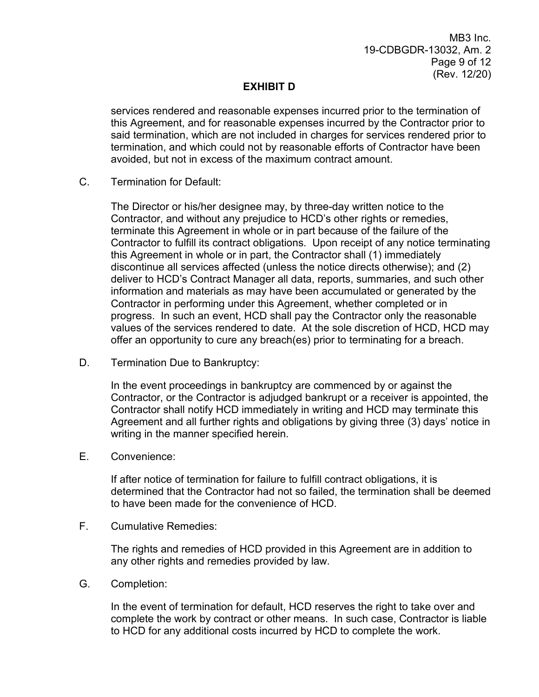MB3 Inc. 19-CDBGDR-13032, Am. 2 Page 9 of 12 (Rev. 12/20)

### **EXHIBIT D**

services rendered and reasonable expenses incurred prior to the termination of this Agreement, and for reasonable expenses incurred by the Contractor prior to said termination, which are not included in charges for services rendered prior to termination, and which could not by reasonable efforts of Contractor have been avoided, but not in excess of the maximum contract amount.

C. Termination for Default:

 discontinue all services affected (unless the notice directs otherwise); and (2) The Director or his/her designee may, by three-day written notice to the Contractor, and without any prejudice to HCD's other rights or remedies, terminate this Agreement in whole or in part because of the failure of the Contractor to fulfill its contract obligations. Upon receipt of any notice terminating this Agreement in whole or in part, the Contractor shall (1) immediately deliver to HCD's Contract Manager all data, reports, summaries, and such other information and materials as may have been accumulated or generated by the Contractor in performing under this Agreement, whether completed or in progress. In such an event, HCD shall pay the Contractor only the reasonable values of the services rendered to date. At the sole discretion of HCD, HCD may offer an opportunity to cure any breach(es) prior to terminating for a breach.

D. Termination Due to Bankruptcy:

 In the event proceedings in bankruptcy are commenced by or against the Contractor, or the Contractor is adjudged bankrupt or a receiver is appointed, the Contractor shall notify HCD immediately in writing and HCD may terminate this Agreement and all further rights and obligations by giving three (3) days' notice in writing in the manner specified herein.

E. Convenience:

 If after notice of termination for failure to fulfill contract obligations, it is determined that the Contractor had not so failed, the termination shall be deemed to have been made for the convenience of HCD.

**Cumulative Remedies:** 

 F. Cumulative Remedies: The rights and remedies of HCD provided in this Agreement are in addition to any other rights and remedies provided by law.

G. Completion:

 complete the work by contract or other means. In such case, Contractor is liable In the event of termination for default, HCD reserves the right to take over and to HCD for any additional costs incurred by HCD to complete the work.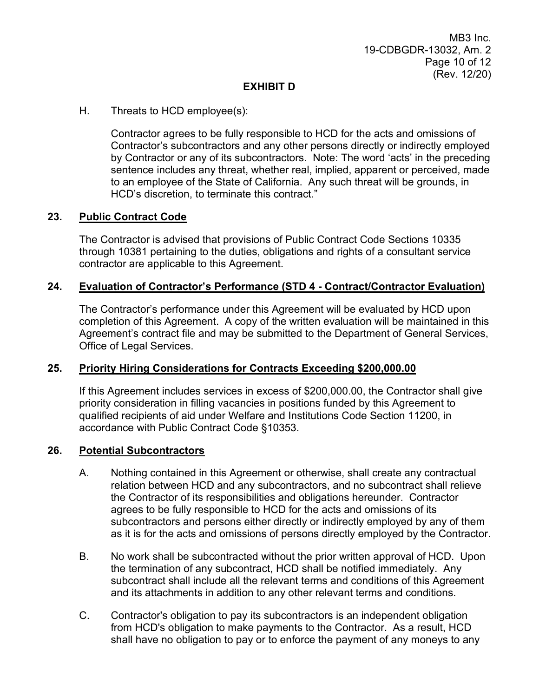# **EXHIBIT D**

# H. Threats to HCD employee(s):

 Contractor agrees to be fully responsible to HCD for the acts and omissions of by Contractor or any of its subcontractors. Note: The word 'acts' in the preceding sentence includes any threat, whether real, implied, apparent or perceived, made to an employee of the State of California. Any such threat will be grounds, in Contractor's subcontractors and any other persons directly or indirectly employed HCD's discretion, to terminate this contract."

# **23. Public Contract Code**

The Contractor is advised that provisions of Public Contract Code Sections 10335 through 10381 pertaining to the duties, obligations and rights of a consultant service contractor are applicable to this Agreement.

# **24. Evaluation of Contractor's Performance (STD 4 - Contract/Contractor Evaluation)**

 completion of this Agreement. A copy of the written evaluation will be maintained in this The Contractor's performance under this Agreement will be evaluated by HCD upon Agreement's contract file and may be submitted to the Department of General Services, Office of Legal Services.

### **25. Priority Hiring Considerations for Contracts Exceeding \$[200,000.00](https://200,000.00)**

If this Agreement includes services in excess of [\\$200,000.00](https://200,000.00), the Contractor shall give priority consideration in filling vacancies in positions funded by this Agreement to qualified recipients of aid under Welfare and Institutions Code Section 11200, in accordance with Public Contract Code §10353.

# **26. Potential Subcontractors**

- A. Nothing contained in this Agreement or otherwise, shall create any contractual subcontractors and persons either directly or indirectly employed by any of them as it is for the acts and omissions of persons directly employed by the Contractor. relation between HCD and any subcontractors, and no subcontract shall relieve the Contractor of its responsibilities and obligations hereunder. Contractor agrees to be fully responsible to HCD for the acts and omissions of its
- the termination of any subcontract, HCD shall be notified immediately. Any B. No work shall be subcontracted without the prior written approval of HCD. Upon subcontract shall include all the relevant terms and conditions of this Agreement and its attachments in addition to any other relevant terms and conditions.
- shall have no obligation to pay or to enforce the payment of any moneys to any C. Contractor's obligation to pay its subcontractors is an independent obligation from HCD's obligation to make payments to the Contractor. As a result, HCD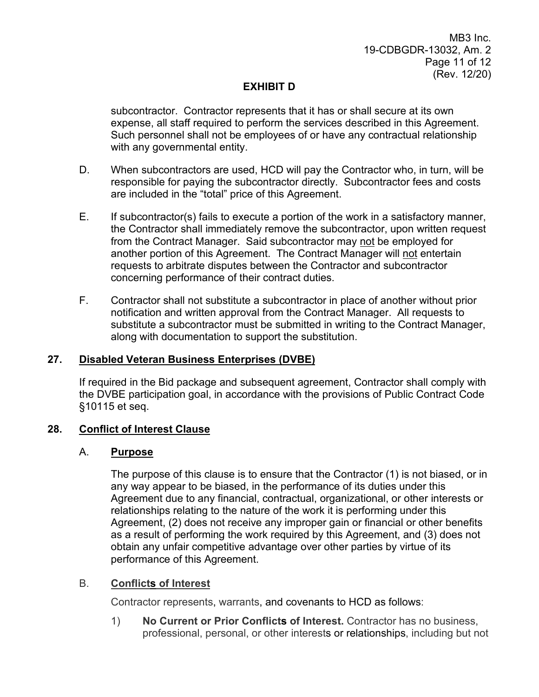MB3 Inc. 19-CDBGDR-13032, Am. 2 Page 11 of 12 (Rev. 12/20)

# **EXHIBIT D**

expense, all staff required to perform the services described in this Agreement. expense, all staff required to perform the services described in this Agreement.<br>Such personnel shall not be employees of or have any contractual relationship subcontractor. Contractor represents that it has or shall secure at its own with any governmental entity.

- D. When subcontractors are used, HCD will pay the Contractor who, in turn, will be responsible for paying the subcontractor directly. Subcontractor fees and costs are included in the "total" price of this Agreement.
- from the Contract Manager. Said subcontractor may <u>not</u> be employed for E. If subcontractor(s) fails to execute a portion of the work in a satisfactory manner, the Contractor shall immediately remove the subcontractor, upon written request another portion of this Agreement. The Contract Manager will not entertain requests to arbitrate disputes between the Contractor and subcontractor concerning performance of their contract duties.
- notification and written approval from the Contract Manager. All requests to F. Contractor shall not substitute a subcontractor in place of another without prior substitute a subcontractor must be submitted in writing to the Contract Manager, along with documentation to support the substitution.

### **27. Disabled Veteran Business Enterprises (DVBE)**

If required in the Bid package and subsequent agreement, Contractor shall comply with the DVBE participation goal, in accordance with the provisions of Public Contract Code §10115 et seq.

### **28. Conflict of Interest Clause**

### A. **Purpose**

 any way appear to be biased, in the performance of its duties under this Agreement due to any financial, contractual, organizational, or other interests or as a result of performing the work required by this Agreement, and (3) does not obtain any unfair competitive advantage over other parties by virtue of its The purpose of this clause is to ensure that the Contractor (1) is not biased, or in relationships relating to the nature of the work it is performing under this Agreement, (2) does not receive any improper gain or financial or other benefits performance of this Agreement.

# B. **Conflicts of Interest**

Contractor represents, warrants, and covenants to HCD as follows:

1) **No Current or Prior Conflicts of Interest.** Contractor has no business, professional, personal, or other interests or relationships, including but not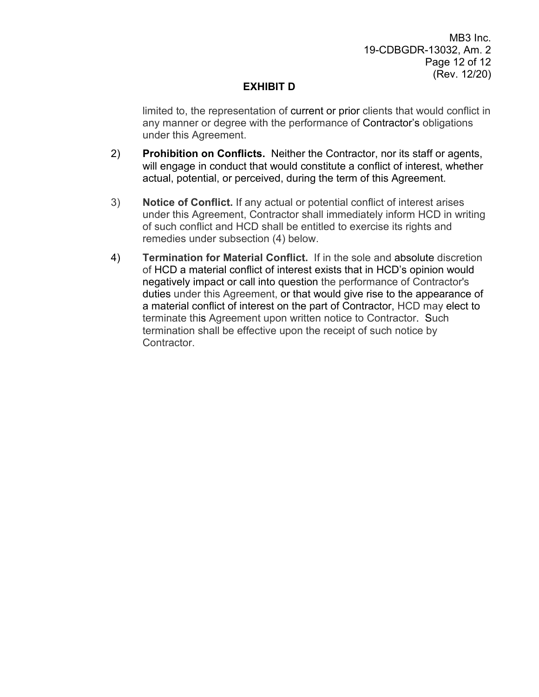MB3 Inc. 19-CDBGDR-13032, Am. 2 Page 12 of 12 (Rev. 12/20)

### **EXHIBIT D**

limited to, the representation of current or prior clients that would conflict in any manner or degree with the performance of Contractor's obligations under this Agreement.

- 2) **Prohibition on Conflicts.** Neither the Contractor, nor its staff or agents, actual, potential, or perceived, during the term of this Agreement. will engage in conduct that would constitute a conflict of interest, whether
- 3) **Notice of Conflict.** If any actual or potential conflict of interest arises under this Agreement, Contractor shall immediately inform HCD in writing of such conflict and HCD shall be entitled to exercise its rights and remedies under subsection (4) below.
- duties under this Agreement, or that would give rise to the appearance of terminate this Agreement upon written notice to Contractor. Such 4) **Termination for Material Conflict.** If in the sole and absolute discretion of HCD a material conflict of interest exists that in HCD's opinion would negatively impact or call into question the performance of Contractor's a material conflict of interest on the part of Contractor, HCD may elect to termination shall be effective upon the receipt of such notice by Contractor.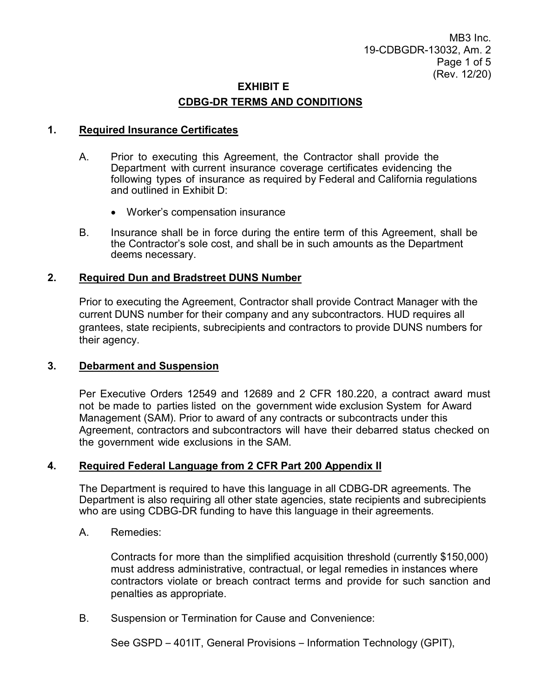# **EXHIBIT E CDBG-DR TERMS AND CONDITIONS**

# **1. Required Insurance Certificates**

- A. Prior to executing this Agreement, the Contractor shall provide the Department with current insurance coverage certificates evidencing the following types of insurance as required by Federal and California regulations and outlined in Exhibit D:
	- Worker's compensation insurance
- Β. the Contractor's sole cost, and shall be in such amounts as the Department Insurance shall be in force during the entire term of this Agreement, shall be deems necessary.

# **2. Required Dun and Bradstreet DUNS Number**

 Prior to executing the Agreement, Contractor shall provide Contract Manager with the current DUNS number for their company and any subcontractors. HUD requires all grantees, state recipients, subrecipients and contractors to provide DUNS numbers for their agency.

### **3. Debarment and Suspension**

 Per Executive Orders 12549 and 12689 and 2 CFR 180.220, a contract award must not be made to parties listed on the government wide exclusion System for Award Management (SAM). Prior to award of any contracts or subcontracts under this Agreement, contractors and subcontractors will have their debarred status checked on the government wide exclusions in the SAM.

# **4. Required Federal Language from 2 CFR Part 200 Appendix II**

 The Department is required to have this language in all CDBG-DR agreements. The Department is also requiring all other state agencies, state recipients and subrecipients who are using CDBG-DR funding to have this language in their agreements.

A. Remedies:

 Contracts for more than the simplified acquisition threshold (currently \$150,000) must address administrative, contractual, or legal remedies in instances where contractors violate or breach contract terms and provide for such sanction and penalties as appropriate.

B. Suspension or Termination for Cause and Convenience:

See GSPD – 401IT, General Provisions – Information Technology (GPIT),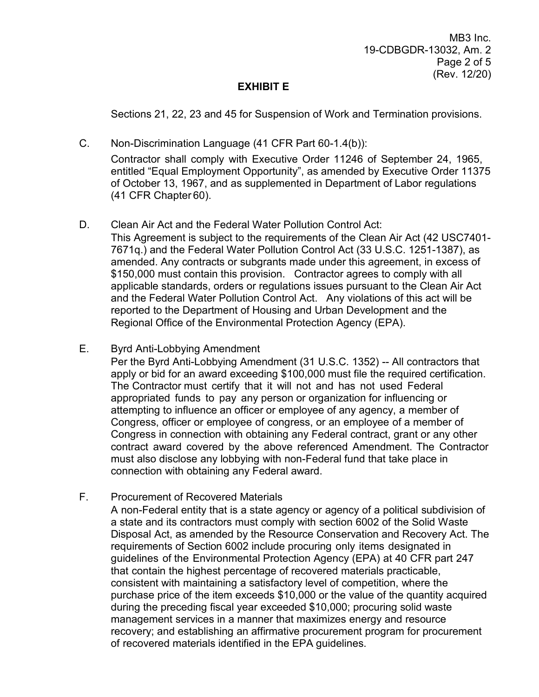MB3 Inc. 19-CDBGDR-13032, Am. 2 Page 2 of 5 (Rev. 12/20)

### **EXHIBIT E**

Sections 21, 22, 23 and 45 for Suspension of Work and Termination provisions.

C. Non-Discrimination Language (41 CFR Part 60-1.4(b)):

 Contractor shall comply with Executive Order 11246 of September 24, 1965, of October 13, 1967, and as supplemented in Department of Labor regulations (41 CFR Chapter 60). entitled "Equal Employment Opportunity", as amended by Executive Order 11375

- This Agreement is subject to the requirements of the Clean Air Act (42 USC7401- amended. Any contracts or subgrants made under this agreement, in excess of \$150,000 must contain this provision. Contractor agrees to comply with all and the Federal Water Pollution Control Act. Any violations of this act will be D. Clean Air Act and the Federal Water Pollution Control Act: 7671q.) and the Federal Water Pollution Control Act (33 U.S.C. 1251-1387), as applicable standards, orders or regulations issues pursuant to the Clean Air Act reported to the Department of Housing and Urban Development and the Regional Office of the Environmental Protection Agency (EPA).
- E. Byrd Anti-Lobbying Amendment

 Per the Byrd Anti-Lobbying Amendment (31 U.S.C. 1352) -- All contractors that apply or bid for an award exceeding \$100,000 must file the required certification. The Contractor must certify that it will not and has not used Federal appropriated funds to pay any person or organization for influencing or attempting to influence an officer or employee of any agency, a member of Congress, officer or employee of congress, or an employee of a member of Congress in connection with obtaining any Federal contract, grant or any other contract award covered by the above referenced Amendment. The Contractor must also disclose any lobbying with non-Federal fund that take place in connection with obtaining any Federal award.

F. Procurement of Recovered Materials

 A non-Federal entity that is a state agency or agency of a political subdivision of a state and its contractors must comply with section 6002 of the Solid Waste Disposal Act, as amended by the Resource Conservation and Recovery Act. The requirements of Section 6002 include procuring only items designated in guidelines of the Environmental Protection Agency (EPA) at 40 CFR part 247 that contain the highest percentage of recovered materials practicable, consistent with maintaining a satisfactory level of competition, where the purchase price of the item exceeds \$10,000 or the value of the quantity acquired during the preceding fiscal year exceeded \$10,000; procuring solid waste management services in a manner that maximizes energy and resource recovery; and establishing an affirmative procurement program for procurement of recovered materials identified in the EPA guidelines.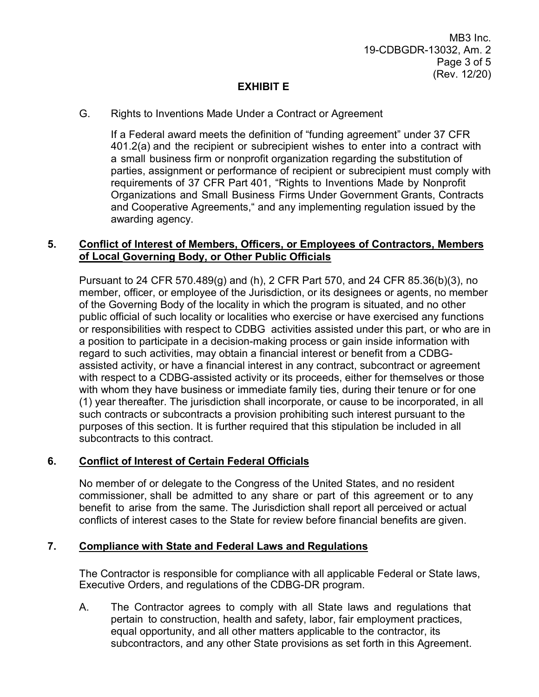# **EXHIBIT E**

#### G. Rights to Inventions Made Under a Contract or Agreement

 If a Federal award meets the definition of "funding agreement" under 37 CFR 401.2(a) and the recipient or subrecipient wishes to enter into a contract with a small business firm or nonprofit organization regarding the substitution of parties, assignment or performance of recipient or subrecipient must comply with requirements of 37 CFR Part 401, "Rights to Inventions Made by Nonprofit Organizations and Small Business Firms Under Government Grants, Contracts and Cooperative Agreements," and any implementing regulation issued by the awarding agency.

# **5. Conflict of Interest of Members, Officers, or Employees of Contractors, Members of Local Governing Body, or Other Public Officials**

 member, officer, or employee of the Jurisdiction, or its designees or agents, no member with respect to a CDBG-assisted activity or its proceeds, either for themselves or those such contracts or subcontracts a provision prohibiting such interest pursuant to the purposes of this section. It is further required that this stipulation be included in all subcontracts to this contract. Pursuant to 24 CFR 570.489(g) and (h), 2 CFR Part 570, and 24 CFR 85.36(b)(3), no of the Governing Body of the locality in which the program is situated, and no other public official of such locality or localities who exercise or have exercised any functions or responsibilities with respect to CDBG activities assisted under this part, or who are in a position to participate in a decision-making process or gain inside information with regard to such activities, may obtain a financial interest or benefit from a CDBGassisted activity, or have a financial interest in any contract, subcontract or agreement with whom they have business or immediate family ties, during their tenure or for one (1) year thereafter. The jurisdiction shall incorporate, or cause to be incorporated, in all

# **6. Conflict of Interest of Certain Federal Officials**

 No member of or delegate to the Congress of the United States, and no resident commissioner, shall be admitted to any share or part of this agreement or to any benefit to arise from the same. The Jurisdiction shall report all perceived or actual conflicts of interest cases to the State for review before financial benefits are given.

# **7. Compliance with State and Federal Laws and Regulations**

 The Contractor is responsible for compliance with all applicable Federal or State laws, Executive Orders, and regulations of the CDBG-DR program.

А. pertain to construction, health and safety, labor, fair employment practices, equal opportunity, and all other matters applicable to the contractor, its subcontractors, and any other State provisions as set forth in this Agreement. The Contractor agrees to comply with all State laws and regulations that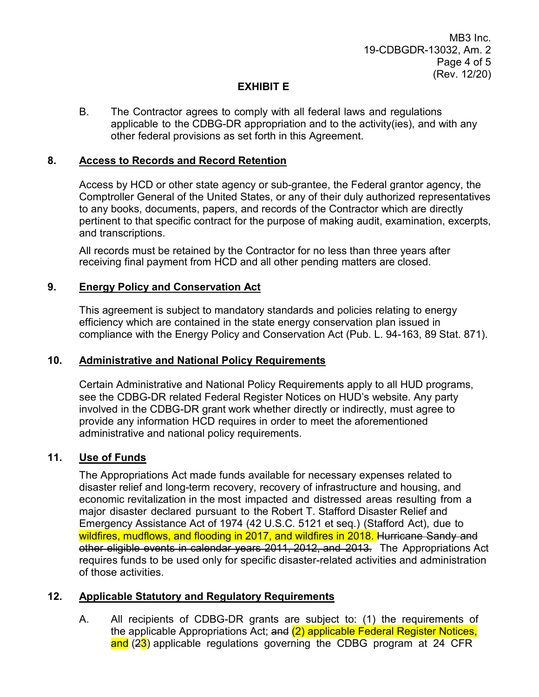MB3 Inc. 19-CDBGDR-13032, Am. 2 Page 4 of 5 (Rev. 12/20)

# **EXHIBIT E**

**B.**  applicable to the CDBG-DR appropriation and to the activity(ies), and with any other federal provisions as set forth in this Agreement. The Contractor agrees to comply with all federal laws and regulations

### **8. Access to Records and Record Retention**

 Access by HCD or other state agency or sub-grantee, the Federal grantor agency, the Comptroller General of the United States, or any of their duly authorized representatives to any books, documents, papers, and records of the Contractor which are directly pertinent to that specific contract for the purpose of making audit, examination, excerpts, and transcriptions.

 All records must be retained by the Contractor for no less than three years after receiving final payment from HCD and all other pending matters are closed.

# **9. Energy Policy and Conservation Act**

 This agreement is subject to mandatory standards and policies relating to energy efficiency which are contained in the state energy conservation plan issued in compliance with the Energy Policy and Conservation Act (Pub. L. 94-163, 89 Stat. 871).

# **10. Administrative and National Policy Requirements**

 Certain Administrative and National Policy Requirements apply to all HUD programs, see the CDBG-DR related Federal Register Notices on HUD's website. Any party involved in the CDBG-DR grant work whether directly or indirectly, must agree to provide any information HCD requires in order to meet the aforementioned administrative and national policy requirements.

#### $11.$ **11. Use of Funds**

 The Appropriations Act made funds available for necessary expenses related to disaster relief and long-term recovery, recovery of infrastructure and housing, and economic revitalization in the most impacted and distressed areas resulting from a major disaster declared pursuant to the Robert T. Stafford Disaster Relief and Emergency Assistance Act of 1974 (42 U.S.C. 5121 et seq.) (Stafford Act), due to wildfires, mudflows, and flooding in 2017, and wildfires in 2018. Hurricane Sandy and other eligible events in calendar years 2011, 2012, and 2013. The Appropriations Act requires funds to be used only for specific disaster-related activities and administration of those activities.

# **12. Applicable Statutory and Regulatory Requirements**

 A. All recipients of CDBG-DR grants are subject to: (1) the requirements of <mark>and</mark> (2<mark>3</mark>) applicable regulations governing the CDBG program at 24 CFR the applicable Appropriations Act; and (2) applicable Federal Register Notices,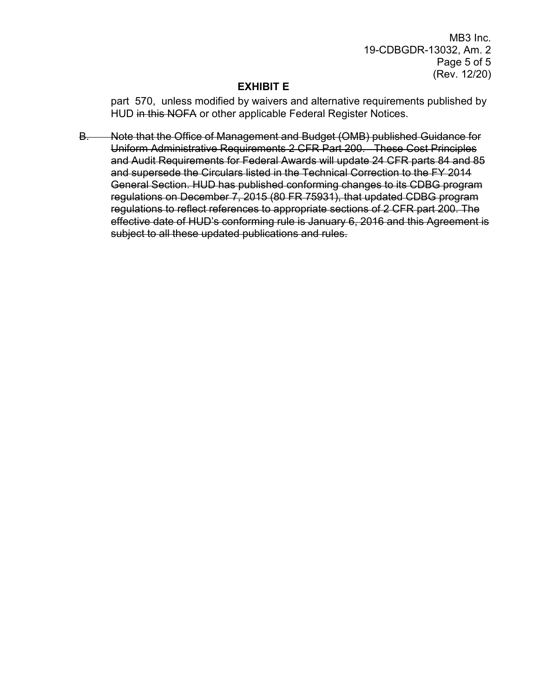MB3 Inc. 19-CDBGDR-13032, Am. 2 Page 5 of 5 (Rev. 12/20)

# **EXHIBIT E**

 part 570, unless modified by waivers and alternative requirements published by HUD in this NOFA or other applicable Federal Register Notices.

B. Note that the Office of Management and Budget (OMB) published Guidance for Uniform Administrative Requirements 2 CFR Part 200. These Cost Principles and Audit Requirements for Federal Awards will update 24 CFR parts 84 and 85 and supersede the Circulars listed in the Technical Correction to the FY 2014 General Section. HUD has published conforming changes to its CDBG program regulations on December 7, 2015 (80 FR 75931), that updated CDBG program regulations to reflect references to appropriate sections of 2 CFR part 200. The effective date of HUD's conforming rule is January 6, 2016 and this Agreement is subject to all these updated publications and rules.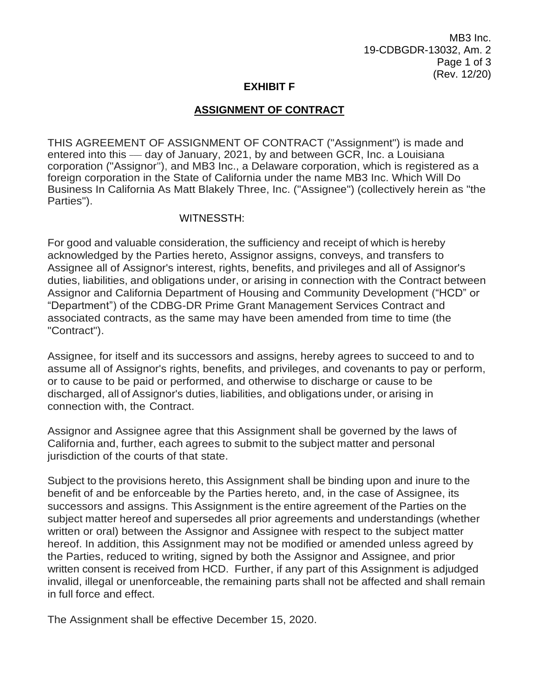MB3 Inc.<br>19-CDBGDR-13032, Am. 2<br>Page 1 of 3<br>(Rev. 12/20)<br>**ASSIGNMENT OF CONTRACT** 19-CDBGDR-13032, Am. 2 Page 1 of 3 (Rev. 12/20)

### **EXHIBIT F**

# **ASSIGNMENT OF CONTRACT**

 corporation ("Assignor"), and MB3 Inc., a Delaware corporation, which is registered as a THIS AGREEMENT OF ASSIGNMENT OF CONTRACT ("Assignment") is made and entered into this  $-$  day of January, 2021, by and between GCR, Inc. a Louisiana foreign corporation in the State of California under the name MB3 Inc. Which Will Do Business In California As Matt Blakely Three, Inc. ("Assignee") (collectively herein as "the Parties").

### WITNESSTH:

 duties, liabilities, and obligations under, or arising in connection with the Contract between For good and valuable consideration, the sufficiency and receipt of which is hereby acknowledged by the Parties hereto, Assignor assigns, conveys, and transfers to Assignee all of Assignor's interest, rights, benefits, and privileges and all of Assignor's Assignor and California Department of Housing and Community Development ("HCD" or "Department") of the CDBG-DR Prime Grant Management Services Contract and associated contracts, as the same may have been amended from time to time (the "Contract").

 Assignee, for itself and its successors and assigns, hereby agrees to succeed to and to assume all of Assignor's rights, benefits, and privileges, and covenants to pay or perform, or to cause to be paid or performed, and otherwise to discharge or cause to be discharged, all of Assignor's duties, liabilities, and obligations under, or arising in connection with, the Contract.

Assignor and Assignee agree that this Assignment shall be governed by the laws of California and, further, each agrees to submit to the subject matter and personal jurisdiction of the courts of that state.

 the Parties, reduced to writing, signed by both the Assignor and Assignee, and prior written consent is received from HCD. Further, if any part of this Assignment is adjudged Subject to the provisions hereto, this Assignment shall be binding upon and inure to the benefit of and be enforceable by the Parties hereto, and, in the case of Assignee, its successors and assigns. This Assignment is the entire agreement of the Parties on the subject matter hereof and supersedes all prior agreements and understandings (whether written or oral) between the Assignor and Assignee with respect to the subject matter hereof. In addition, this Assignment may not be modified or amended unless agreed by invalid, illegal or unenforceable, the remaining parts shall not be affected and shall remain in full force and effect.

The Assignment shall be effective December 15, 2020.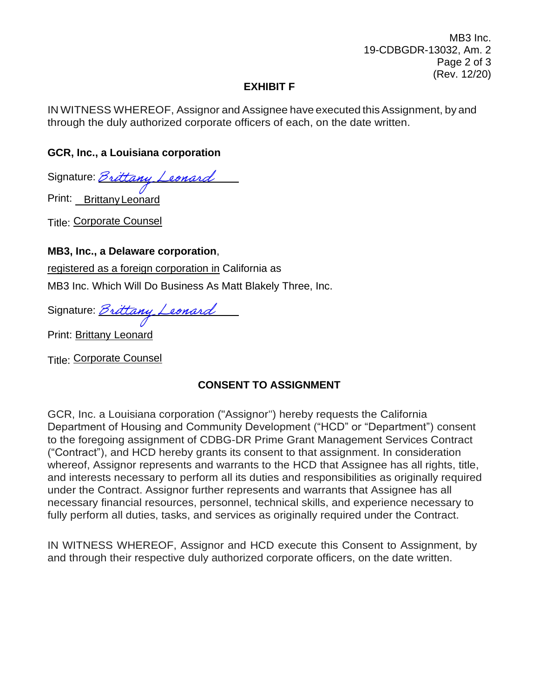MB3 Inc. 19-CDBGDR-13032, Am. 2 Page 2 of 3 (Rev. 12/20)

# **EXHIBIT F**

IN WITNESS WHEREOF, Assignor and Assignee have executed this Assignment, by and through the duly authorized corporate officers of each, on the date written.

# **GCR, Inc., a Louisiana corporation**

Signature: *Brittany, Leonard* 

Print: **Brittany Leonard** 

Title: Corporate Counsel

# **MB3, Inc., a Delaware corporation**,

 registered as a foreign corporation in California as MB3 Inc. Which Will Do Business As Matt Blakely Three, Inc.

|  | Signature: <i>Brittany Leonard</i> |
|--|------------------------------------|
|  |                                    |

Print: Brittany Leonard

Title: Corporate Counsel

# **CONSENT TO ASSIGNMENT**

GCR, Inc. a Louisiana corporation ("Assignor") hereby requests the California Department of Housing and Community Development ("HCD" or "Department") consent to the foregoing assignment of CDBG-DR Prime Grant Management Services Contract ("Contract"), and HCD hereby grants its consent to that assignment. In consideration whereof, Assignor represents and warrants to the HCD that Assignee has all rights, title, and interests necessary to perform all its duties and responsibilities as originally required under the Contract. Assignor further represents and warrants that Assignee has all necessary financial resources, personnel, technical skills, and experience necessary to fully perform all duties, tasks, and services as originally required under the Contract.

IN WITNESS WHEREOF, Assignor and HCD execute this Consent to Assignment, by and through their respective duly authorized corporate officers, on the date written.